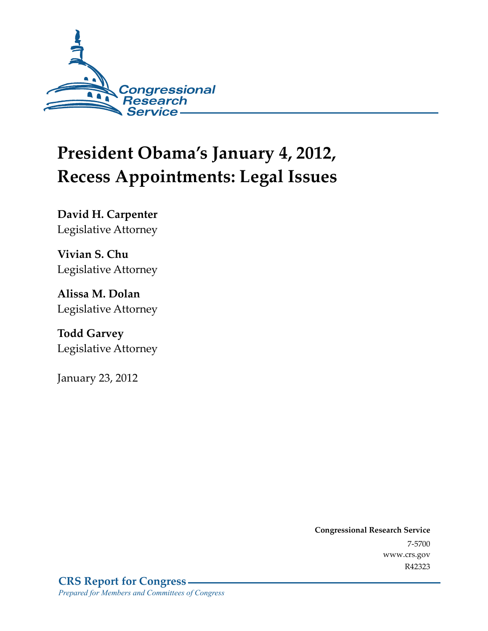

# **President Obama's January 4, 2012, Recess Appointments: Legal Issues**

**David H. Carpenter**  Legislative Attorney

**Vivian S. Chu**  Legislative Attorney

**Alissa M. Dolan**  Legislative Attorney

**Todd Garvey**  Legislative Attorney

January 23, 2012

**Congressional Research Service**  7-5700 www.crs.gov R42323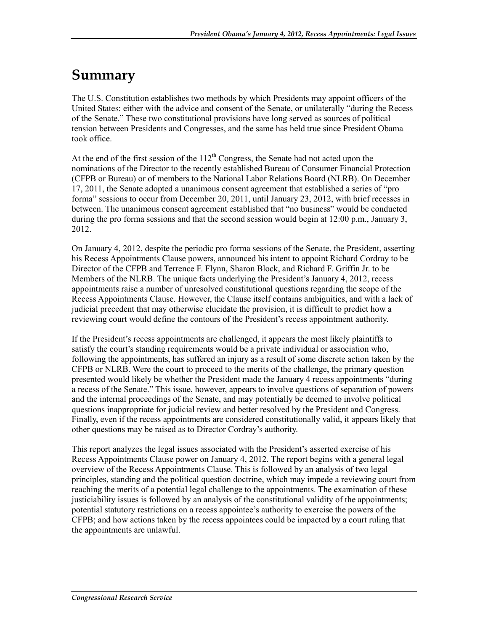## **Summary**

The U.S. Constitution establishes two methods by which Presidents may appoint officers of the United States: either with the advice and consent of the Senate, or unilaterally "during the Recess of the Senate." These two constitutional provisions have long served as sources of political tension between Presidents and Congresses, and the same has held true since President Obama took office.

At the end of the first session of the  $112<sup>th</sup>$  Congress, the Senate had not acted upon the nominations of the Director to the recently established Bureau of Consumer Financial Protection (CFPB or Bureau) or of members to the National Labor Relations Board (NLRB). On December 17, 2011, the Senate adopted a unanimous consent agreement that established a series of "pro forma" sessions to occur from December 20, 2011, until January 23, 2012, with brief recesses in between. The unanimous consent agreement established that "no business" would be conducted during the pro forma sessions and that the second session would begin at 12:00 p.m., January 3, 2012.

On January 4, 2012, despite the periodic pro forma sessions of the Senate, the President, asserting his Recess Appointments Clause powers, announced his intent to appoint Richard Cordray to be Director of the CFPB and Terrence F. Flynn, Sharon Block, and Richard F. Griffin Jr. to be Members of the NLRB. The unique facts underlying the President's January 4, 2012, recess appointments raise a number of unresolved constitutional questions regarding the scope of the Recess Appointments Clause. However, the Clause itself contains ambiguities, and with a lack of judicial precedent that may otherwise elucidate the provision, it is difficult to predict how a reviewing court would define the contours of the President's recess appointment authority.

If the President's recess appointments are challenged, it appears the most likely plaintiffs to satisfy the court's standing requirements would be a private individual or association who, following the appointments, has suffered an injury as a result of some discrete action taken by the CFPB or NLRB. Were the court to proceed to the merits of the challenge, the primary question presented would likely be whether the President made the January 4 recess appointments "during a recess of the Senate." This issue, however, appears to involve questions of separation of powers and the internal proceedings of the Senate, and may potentially be deemed to involve political questions inappropriate for judicial review and better resolved by the President and Congress. Finally, even if the recess appointments are considered constitutionally valid, it appears likely that other questions may be raised as to Director Cordray's authority.

This report analyzes the legal issues associated with the President's asserted exercise of his Recess Appointments Clause power on January 4, 2012. The report begins with a general legal overview of the Recess Appointments Clause. This is followed by an analysis of two legal principles, standing and the political question doctrine, which may impede a reviewing court from reaching the merits of a potential legal challenge to the appointments. The examination of these justiciability issues is followed by an analysis of the constitutional validity of the appointments; potential statutory restrictions on a recess appointee's authority to exercise the powers of the CFPB; and how actions taken by the recess appointees could be impacted by a court ruling that the appointments are unlawful.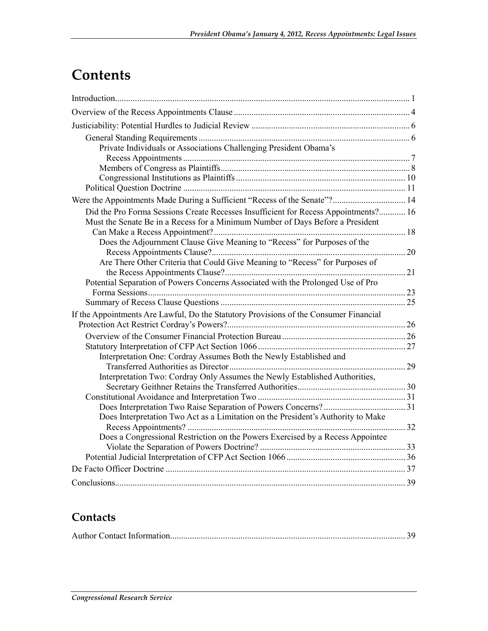## **Contents**

| Private Individuals or Associations Challenging President Obama's                                                                                                     |  |
|-----------------------------------------------------------------------------------------------------------------------------------------------------------------------|--|
|                                                                                                                                                                       |  |
|                                                                                                                                                                       |  |
|                                                                                                                                                                       |  |
|                                                                                                                                                                       |  |
| Were the Appointments Made During a Sufficient "Recess of the Senate"? 14                                                                                             |  |
| Did the Pro Forma Sessions Create Recesses Insufficient for Recess Appointments? 16<br>Must the Senate Be in a Recess for a Minimum Number of Days Before a President |  |
|                                                                                                                                                                       |  |
| Does the Adjournment Clause Give Meaning to "Recess" for Purposes of the                                                                                              |  |
| Are There Other Criteria that Could Give Meaning to "Recess" for Purposes of                                                                                          |  |
|                                                                                                                                                                       |  |
| Potential Separation of Powers Concerns Associated with the Prolonged Use of Pro                                                                                      |  |
|                                                                                                                                                                       |  |
| If the Appointments Are Lawful, Do the Statutory Provisions of the Consumer Financial                                                                                 |  |
|                                                                                                                                                                       |  |
|                                                                                                                                                                       |  |
|                                                                                                                                                                       |  |
| Interpretation One: Cordray Assumes Both the Newly Established and                                                                                                    |  |
|                                                                                                                                                                       |  |
| Interpretation Two: Cordray Only Assumes the Newly Established Authorities,                                                                                           |  |
|                                                                                                                                                                       |  |
|                                                                                                                                                                       |  |
|                                                                                                                                                                       |  |
| Does Interpretation Two Act as a Limitation on the President's Authority to Make                                                                                      |  |
| Does a Congressional Restriction on the Powers Exercised by a Recess Appointee                                                                                        |  |
|                                                                                                                                                                       |  |
|                                                                                                                                                                       |  |
|                                                                                                                                                                       |  |
|                                                                                                                                                                       |  |

### **Contacts**

|--|--|--|--|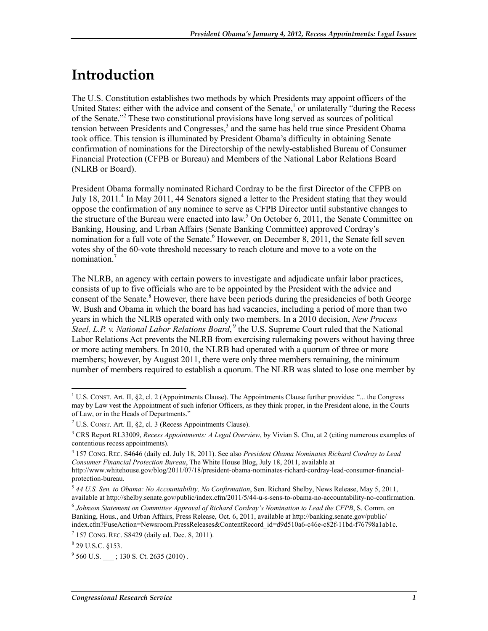## **Introduction**

The U.S. Constitution establishes two methods by which Presidents may appoint officers of the United States: either with the advice and consent of the Senate,<sup>1</sup> or unilaterally "during the Recess" of the Senate."<sup>2</sup> These two constitutional provisions have long served as sources of political tension between Presidents and Congresses,<sup>3</sup> and the same has held true since President Obama took office. This tension is illuminated by President Obama's difficulty in obtaining Senate confirmation of nominations for the Directorship of the newly-established Bureau of Consumer Financial Protection (CFPB or Bureau) and Members of the National Labor Relations Board (NLRB or Board).

President Obama formally nominated Richard Cordray to be the first Director of the CFPB on July 18, 2011.<sup>4</sup> In May 2011, 44 Senators signed a letter to the President stating that they would oppose the confirmation of any nominee to serve as CFPB Director until substantive changes to the structure of the Bureau were enacted into law.<sup>5</sup> On October 6, 2011, the Senate Committee on Banking, Housing, and Urban Affairs (Senate Banking Committee) approved Cordray's nomination for a full vote of the Senate.<sup>6</sup> However, on December 8, 2011, the Senate fell seven votes shy of the 60-vote threshold necessary to reach cloture and move to a vote on the nomination.<sup>7</sup>

The NLRB, an agency with certain powers to investigate and adjudicate unfair labor practices, consists of up to five officials who are to be appointed by the President with the advice and consent of the Senate.<sup>8</sup> However, there have been periods during the presidencies of both George W. Bush and Obama in which the board has had vacancies, including a period of more than two years in which the NLRB operated with only two members. In a 2010 decision, *New Process*  Steel, L.P. v. National Labor Relations Board,<sup>9</sup> the U.S. Supreme Court ruled that the National Labor Relations Act prevents the NLRB from exercising rulemaking powers without having three or more acting members. In 2010, the NLRB had operated with a quorum of three or more members; however, by August 2011, there were only three members remaining, the minimum number of members required to establish a quorum. The NLRB was slated to lose one member by

<sup>&</sup>lt;sup>1</sup> U.S. CONST. Art. II, §2, cl. 2 (Appointments Clause). The Appointments Clause further provides: "... the Congress may by Law vest the Appointment of such inferior Officers, as they think proper, in the President alone, in the Courts of Law, or in the Heads of Departments."

<sup>&</sup>lt;sup>2</sup> U.S. CONST. Art. II, §2, cl. 3 (Recess Appointments Clause).

<sup>3</sup> CRS Report RL33009, *Recess Appointments: A Legal Overview*, by Vivian S. Chu, at 2 (citing numerous examples of contentious recess appointments).

<sup>4</sup> 157 CONG. REC. S4646 (daily ed. July 18, 2011). See also *President Obama Nominates Richard Cordray to Lead Consumer Financial Protection Bureau*, The White House Blog, July 18, 2011, available at http://www.whitehouse.gov/blog/2011/07/18/president-obama-nominates-richard-cordray-lead-consumer-financial-

protection-bureau.

<sup>5</sup> *44 U.S. Sen. to Obama: No Accountability, No Confirmation*, Sen. Richard Shelby, News Release, May 5, 2011, available at http://shelby.senate.gov/public/index.cfm/2011/5/44-u-s-sens-to-obama-no-accountability-no-confirmation.

<sup>6</sup> *Johnson Statement on Committee Approval of Richard Cordray's Nomination to Lead the CFPB*, S. Comm. on Banking, Hous., and Urban Affairs, Press Release, Oct. 6, 2011, available at http://banking.senate.gov/public/ index.cfm?FuseAction=Newsroom.PressReleases&ContentRecord\_id=d9d510a6-c46e-c82f-11bd-f76798a1ab1c.

<sup>7</sup> 157 CONG. REC. S8429 (daily ed. Dec. 8, 2011).

 $8$  29 U.S.C. §153.

 $9^9$  560 U.S.  $\qquad$  ; 130 S. Ct. 2635 (2010).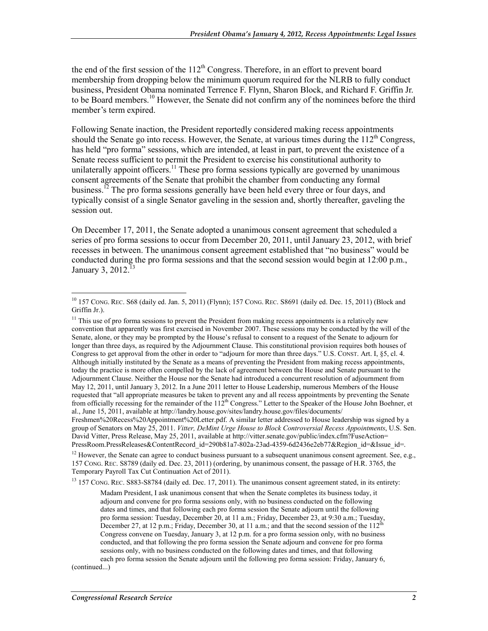the end of the first session of the  $112<sup>th</sup>$  Congress. Therefore, in an effort to prevent board membership from dropping below the minimum quorum required for the NLRB to fully conduct business, President Obama nominated Terrence F. Flynn, Sharon Block, and Richard F. Griffin Jr. to be Board members.<sup>10</sup> However, the Senate did not confirm any of the nominees before the third member's term expired.

Following Senate inaction, the President reportedly considered making recess appointments should the Senate go into recess. However, the Senate, at various times during the  $112<sup>th</sup>$  Congress, has held "pro forma" sessions, which are intended, at least in part, to prevent the existence of a Senate recess sufficient to permit the President to exercise his constitutional authority to unilaterally appoint officers.<sup>11</sup> These pro forma sessions typically are governed by unanimous consent agreements of the Senate that prohibit the chamber from conducting any formal business.<sup>12</sup> The pro forma sessions generally have been held every three or four days, and typically consist of a single Senator gaveling in the session and, shortly thereafter, gaveling the session out.

On December 17, 2011, the Senate adopted a unanimous consent agreement that scheduled a series of pro forma sessions to occur from December 20, 2011, until January 23, 2012, with brief recesses in between. The unanimous consent agreement established that "no business" would be conducted during the pro forma sessions and that the second session would begin at 12:00 p.m., January 3,  $2012<sup>13</sup>$ 

 $11$  This use of pro forma sessions to prevent the President from making recess appointments is a relatively new convention that apparently was first exercised in November 2007. These sessions may be conducted by the will of the Senate, alone, or they may be prompted by the House's refusal to consent to a request of the Senate to adjourn for longer than three days, as required by the Adjournment Clause. This constitutional provision requires both houses of Congress to get approval from the other in order to "adjourn for more than three days." U.S. CONST. Art. I, §5, cl. 4. Although initially instituted by the Senate as a means of preventing the President from making recess appointments, today the practice is more often compelled by the lack of agreement between the House and Senate pursuant to the Adjournment Clause. Neither the House nor the Senate had introduced a concurrent resolution of adjournment from May 12, 2011, until January 3, 2012. In a June 2011 letter to House Leadership, numerous Members of the House requested that "all appropriate measures be taken to prevent any and all recess appointments by preventing the Senate from officially recessing for the remainder of the 112<sup>th</sup> Congress." Letter to the Speaker of the House John Boehner, et al., June 15, 2011, available at http://landry.house.gov/sites/landry.house.gov/files/documents/

<sup>13</sup> 157 CONG. REC. S883-S8784 (daily ed. Dec. 17, 2011). The unanimous consent agreement stated, in its entirety:

(continued...)

<sup>&</sup>lt;u>.</u>  $^{10}$  157 CONG. REC. S68 (daily ed. Jan. 5, 2011) (Flynn); 157 CONG. REC. S8691 (daily ed. Dec. 15, 2011) (Block and Griffin Jr.).

Freshmen%20Recess%20Appointment%20Letter.pdf. A similar letter addressed to House leadership was signed by a group of Senators on May 25, 2011. *Vitter, DeMint Urge House to Block Controversial Recess Appointments*, U.S. Sen. David Vitter, Press Release, May 25, 2011, available at http://vitter.senate.gov/public/index.cfm?FuseAction= PressRoom.PressReleases&ContentRecord\_id=290b81a7-802a-23ad-4359-6d2436e2eb77&Region\_id=&Issue\_id=.

<sup>&</sup>lt;sup>12</sup> However, the Senate can agree to conduct business pursuant to a subsequent unanimous consent agreement. See, e.g., 157 CONG. REC. S8789 (daily ed. Dec. 23, 2011) (ordering, by unanimous consent, the passage of H.R. 3765, the Temporary Payroll Tax Cut Continuation Act of 2011).

Madam President, I ask unanimous consent that when the Senate completes its business today, it adjourn and convene for pro forma sessions only, with no business conducted on the following dates and times, and that following each pro forma session the Senate adjourn until the following pro forma session: Tuesday, December 20, at 11 a.m.; Friday, December 23, at 9:30 a.m.; Tuesday, December 27, at 12 p.m.; Friday, December 30, at 11 a.m.; and that the second session of the 112<sup>th</sup> Congress convene on Tuesday, January 3, at 12 p.m. for a pro forma session only, with no business conducted, and that following the pro forma session the Senate adjourn and convene for pro forma sessions only, with no business conducted on the following dates and times, and that following each pro forma session the Senate adjourn until the following pro forma session: Friday, January 6,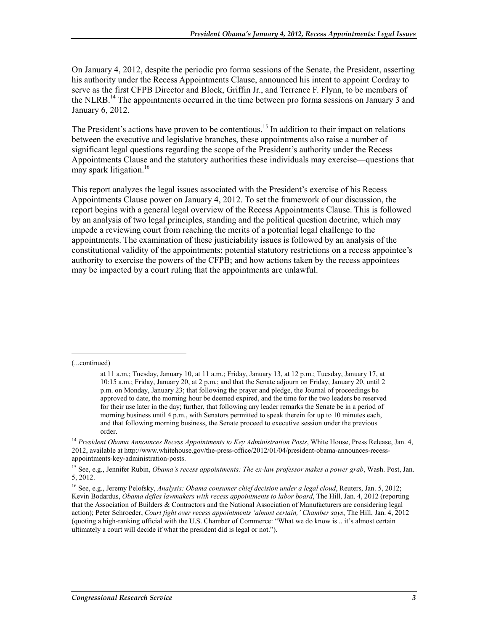On January 4, 2012, despite the periodic pro forma sessions of the Senate, the President, asserting his authority under the Recess Appointments Clause, announced his intent to appoint Cordray to serve as the first CFPB Director and Block, Griffin Jr., and Terrence F. Flynn, to be members of the NLRB.<sup>14</sup> The appointments occurred in the time between pro forma sessions on January 3 and January 6, 2012.

The President's actions have proven to be contentious.<sup>15</sup> In addition to their impact on relations between the executive and legislative branches, these appointments also raise a number of significant legal questions regarding the scope of the President's authority under the Recess Appointments Clause and the statutory authorities these individuals may exercise—questions that may spark litigation.<sup>16</sup>

This report analyzes the legal issues associated with the President's exercise of his Recess Appointments Clause power on January 4, 2012. To set the framework of our discussion, the report begins with a general legal overview of the Recess Appointments Clause. This is followed by an analysis of two legal principles, standing and the political question doctrine, which may impede a reviewing court from reaching the merits of a potential legal challenge to the appointments. The examination of these justiciability issues is followed by an analysis of the constitutional validity of the appointments; potential statutory restrictions on a recess appointee's authority to exercise the powers of the CFPB; and how actions taken by the recess appointees may be impacted by a court ruling that the appointments are unlawful.

(...continued)

at 11 a.m.; Tuesday, January 10, at 11 a.m.; Friday, January 13, at 12 p.m.; Tuesday, January 17, at 10:15 a.m.; Friday, January 20, at 2 p.m.; and that the Senate adjourn on Friday, January 20, until 2 p.m. on Monday, January 23; that following the prayer and pledge, the Journal of proceedings be approved to date, the morning hour be deemed expired, and the time for the two leaders be reserved for their use later in the day; further, that following any leader remarks the Senate be in a period of morning business until 4 p.m., with Senators permitted to speak therein for up to 10 minutes each, and that following morning business, the Senate proceed to executive session under the previous order.

<sup>&</sup>lt;sup>14</sup> President Obama Announces Recess Appointments to Key Administration Posts, White House, Press Release, Jan. 4, 2012, available at http://www.whitehouse.gov/the-press-office/2012/01/04/president-obama-announces-recessappointments-key-administration-posts.

<sup>15</sup> See, e.g., Jennifer Rubin, *Obama's recess appointments: The ex-law professor makes a power grab*, Wash. Post, Jan. 5, 2012.

<sup>16</sup> See, e.g., Jeremy Pelofsky, *Analysis: Obama consumer chief decision under a legal cloud*, Reuters, Jan. 5, 2012; Kevin Bodardus, *Obama defies lawmakers with recess appointments to labor board*, The Hill, Jan. 4, 2012 (reporting that the Association of Builders & Contractors and the National Association of Manufacturers are considering legal action); Peter Schroeder, *Court fight over recess appointments 'almost certain,' Chamber says*, The Hill, Jan. 4, 2012 (quoting a high-ranking official with the U.S. Chamber of Commerce: "What we do know is .. it's almost certain ultimately a court will decide if what the president did is legal or not.").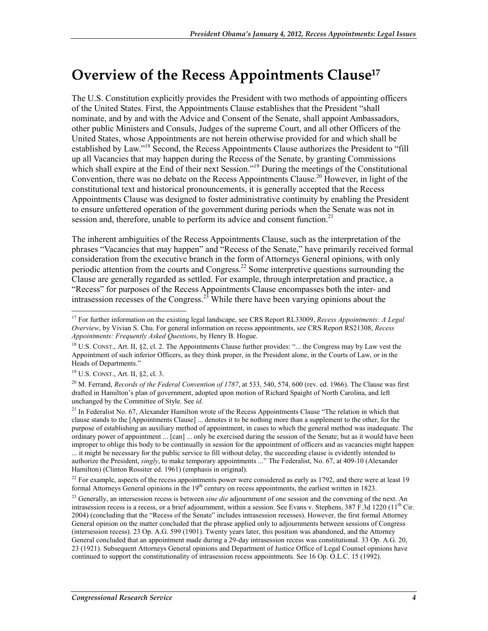## **Overview of the Recess Appointments Clause17**

The U.S. Constitution explicitly provides the President with two methods of appointing officers of the United States. First, the Appointments Clause establishes that the President "shall nominate, and by and with the Advice and Consent of the Senate, shall appoint Ambassadors, other public Ministers and Consuls, Judges of the supreme Court, and all other Officers of the United States, whose Appointments are not herein otherwise provided for and which shall be established by Law."<sup>18</sup> Second, the Recess Appointments Clause authorizes the President to "fill" up all Vacancies that may happen during the Recess of the Senate, by granting Commissions which shall expire at the End of their next Session."<sup>19</sup> During the meetings of the Constitutional Convention, there was no debate on the Recess Appointments Clause.<sup>20</sup> However, in light of the constitutional text and historical pronouncements, it is generally accepted that the Recess Appointments Clause was designed to foster administrative continuity by enabling the President to ensure unfettered operation of the government during periods when the Senate was not in session and, therefore, unable to perform its advice and consent function.<sup>21</sup>

The inherent ambiguities of the Recess Appointments Clause, such as the interpretation of the phrases "Vacancies that may happen" and "Recess of the Senate," have primarily received formal consideration from the executive branch in the form of Attorneys General opinions, with only periodic attention from the courts and Congress.22 Some interpretive questions surrounding the Clause are generally regarded as settled. For example, through interpretation and practice, a "Recess" for purposes of the Recess Appointments Clause encompasses both the inter- and intrasession recesses of the Congress.<sup>23</sup> While there have been varying opinions about the

<sup>1</sup> 17 For further information on the existing legal landscape, see CRS Report RL33009, *Recess Appointments: A Legal Overview*, by Vivian S. Chu. For general information on recess appointments, see CRS Report RS21308, *Recess Appointments: Frequently Asked Questions*, by Henry B. Hogue.

 $18$  U.S. CONST., Art. II, §2, cl. 2. The Appointments Clause further provides: "... the Congress may by Law vest the Appointment of such inferior Officers, as they think proper, in the President alone, in the Courts of Law, or in the Heads of Departments."

<sup>19</sup> U.S. CONST., Art. II, §2, cl. 3.

<sup>&</sup>lt;sup>20</sup> M. Ferrand, *Records of the Federal Convention of 1787*, at 533, 540, 574, 600 (rev. ed. 1966). The Clause was first drafted in Hamilton's plan of government, adopted upon motion of Richard Spaight of North Carolina, and left unchanged by the Committee of Style. See *id*.

<sup>&</sup>lt;sup>21</sup> In Federalist No. 67, Alexander Hamilton wrote of the Recess Appointments Clause "The relation in which that clause stands to the [Appointments Clause] ... denotes it to be nothing more than a supplement to the other, for the purpose of establishing an auxiliary method of appointment, in cases to which the general method was inadequate. The ordinary power of appointment ... [can] ... only be exercised during the session of the Senate; but as it would have been improper to oblige this body to be continually in session for the appointment of officers and as vacancies might happen ... it might be necessary for the public service to fill without delay, the succeeding clause is evidently intended to authorize the President, *singly*, to make temporary appointments ..." The Federalist, No. 67, at 409-10 (Alexander Hamilton) (Clinton Rossiter ed. 1961) (emphasis in original).

 $^{22}$  For example, aspects of the recess appointments power were considered as early as 1792, and there were at least 19 formal Attorneys General opinions in the  $19<sup>th</sup>$  century on recess appointments, the earliest written in 1823.

<sup>&</sup>lt;sup>23</sup> Generally, an intersession recess is between *sine die* adjournment of one session and the convening of the next. An intrasession recess is a recess, or a brief adjournment, within a session. See Evans v. Stephens, 387 F.3d 1220 ( $11<sup>th</sup>$  Cir. 2004) (concluding that the "Recess of the Senate" includes intrasession recesses). However, the first formal Attorney General opinion on the matter concluded that the phrase applied only to adjournments between sessions of Congress (intersession recess). 23 Op. A.G. 599 (1901). Twenty years later, this position was abandoned, and the Attorney General concluded that an appointment made during a 29-day intrasession recess was constitutional. 33 Op. A.G. 20, 23 (1921). Subsequent Attorneys General opinions and Department of Justice Office of Legal Counsel opinions have continued to support the constitutionality of intrasession recess appointments. See 16 Op. O.L.C. 15 (1992).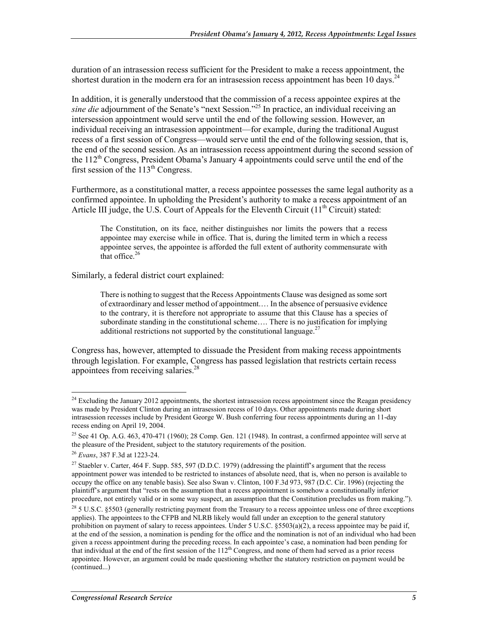duration of an intrasession recess sufficient for the President to make a recess appointment, the shortest duration in the modern era for an intrasession recess appointment has been 10 days.<sup>24</sup>

In addition, it is generally understood that the commission of a recess appointee expires at the *sine die* adjournment of the Senate's "next Session."25 In practice, an individual receiving an intersession appointment would serve until the end of the following session. However, an individual receiving an intrasession appointment—for example, during the traditional August recess of a first session of Congress—would serve until the end of the following session, that is, the end of the second session. As an intrasession recess appointment during the second session of the  $112<sup>th</sup>$  Congress, President Obama's January 4 appointments could serve until the end of the first session of the  $113<sup>th</sup>$  Congress.

Furthermore, as a constitutional matter, a recess appointee possesses the same legal authority as a confirmed appointee. In upholding the President's authority to make a recess appointment of an Article III judge, the U.S. Court of Appeals for the Eleventh Circuit  $(11<sup>th</sup> Circuit)$  stated:

The Constitution, on its face, neither distinguishes nor limits the powers that a recess appointee may exercise while in office. That is, during the limited term in which a recess appointee serves, the appointee is afforded the full extent of authority commensurate with that office. $26$ 

Similarly, a federal district court explained:

There is nothing to suggest that the Recess Appointments Clause was designed as some sort of extraordinary and lesser method of appointment.… In the absence of persuasive evidence to the contrary, it is therefore not appropriate to assume that this Clause has a species of subordinate standing in the constitutional scheme…. There is no justification for implying additional restrictions not supported by the constitutional language.<sup>27</sup>

Congress has, however, attempted to dissuade the President from making recess appointments through legislation. For example, Congress has passed legislation that restricts certain recess appointees from receiving salaries.<sup>28</sup>

<sup>&</sup>lt;u>.</u>  $24$  Excluding the January 2012 appointments, the shortest intrasession recess appointment since the Reagan presidency was made by President Clinton during an intrasession recess of 10 days. Other appointments made during short intrasession recesses include by President George W. Bush conferring four recess appointments during an 11-day recess ending on April 19, 2004.

<sup>&</sup>lt;sup>25</sup> See 41 Op. A.G. 463, 470-471 (1960); 28 Comp. Gen. 121 (1948). In contrast, a confirmed appointee will serve at the pleasure of the President, subject to the statutory requirements of the position.

<sup>26</sup> *Evans*, 387 F.3d at 1223-24.

<sup>&</sup>lt;sup>27</sup> Staebler v. Carter, 464 F. Supp. 585, 597 (D.D.C. 1979) (addressing the plaintiff's argument that the recess appointment power was intended to be restricted to instances of absolute need, that is, when no person is available to occupy the office on any tenable basis). See also Swan v. Clinton, 100 F.3d 973, 987 (D.C. Cir. 1996) (rejecting the plaintiff's argument that "rests on the assumption that a recess appointment is somehow a constitutionally inferior procedure, not entirely valid or in some way suspect, an assumption that the Constitution precludes us from making.").

 $28$  5 U.S.C. 85503 (generally restricting payment from the Treasury to a recess appointee unless one of three exceptions applies). The appointees to the CFPB and NLRB likely would fall under an exception to the general statutory prohibition on payment of salary to recess appointees. Under 5 U.S.C.  $\S 5503(a)(2)$ , a recess appointee may be paid if, at the end of the session, a nomination is pending for the office and the nomination is not of an individual who had been given a recess appointment during the preceding recess. In each appointee's case, a nomination had been pending for that individual at the end of the first session of the  $112<sup>th</sup>$  Congress, and none of them had served as a prior recess appointee. However, an argument could be made questioning whether the statutory restriction on payment would be (continued...)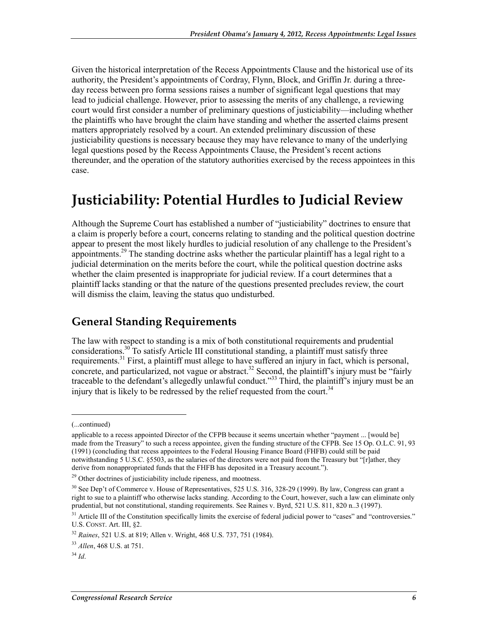Given the historical interpretation of the Recess Appointments Clause and the historical use of its authority, the President's appointments of Cordray, Flynn, Block, and Griffin Jr. during a threeday recess between pro forma sessions raises a number of significant legal questions that may lead to judicial challenge. However, prior to assessing the merits of any challenge, a reviewing court would first consider a number of preliminary questions of justiciability—including whether the plaintiffs who have brought the claim have standing and whether the asserted claims present matters appropriately resolved by a court. An extended preliminary discussion of these justiciability questions is necessary because they may have relevance to many of the underlying legal questions posed by the Recess Appointments Clause, the President's recent actions thereunder, and the operation of the statutory authorities exercised by the recess appointees in this case.

## **Justiciability: Potential Hurdles to Judicial Review**

Although the Supreme Court has established a number of "justiciability" doctrines to ensure that a claim is properly before a court, concerns relating to standing and the political question doctrine appear to present the most likely hurdles to judicial resolution of any challenge to the President's appointments.<sup>29</sup> The standing doctrine asks whether the particular plaintiff has a legal right to a judicial determination on the merits before the court, while the political question doctrine asks whether the claim presented is inappropriate for judicial review. If a court determines that a plaintiff lacks standing or that the nature of the questions presented precludes review, the court will dismiss the claim, leaving the status quo undisturbed.

### **General Standing Requirements**

The law with respect to standing is a mix of both constitutional requirements and prudential considerations.<sup>30</sup> To satisfy Article III constitutional standing, a plaintiff must satisfy three requirements.<sup>31</sup> First, a plaintiff must allege to have suffered an injury in fact, which is personal, concrete, and particularized, not vague or abstract.<sup>32</sup> Second, the plaintiff's injury must be "fairly" traceable to the defendant's allegedly unlawful conduct."33 Third, the plaintiff's injury must be an injury that is likely to be redressed by the relief requested from the court.<sup>34</sup>

<sup>(...</sup>continued)

applicable to a recess appointed Director of the CFPB because it seems uncertain whether "payment ... [would be] made from the Treasury" to such a recess appointee, given the funding structure of the CFPB. See 15 Op. O.L.C. 91, 93 (1991) (concluding that recess appointees to the Federal Housing Finance Board (FHFB) could still be paid notwithstanding 5 U.S.C. §5503, as the salaries of the directors were not paid from the Treasury but "[r]ather, they derive from nonappropriated funds that the FHFB has deposited in a Treasury account.").

<sup>&</sup>lt;sup>29</sup> Other doctrines of justiciability include ripeness, and mootness.

<sup>&</sup>lt;sup>30</sup> See Dep't of Commerce v. House of Representatives, 525 U.S. 316, 328-29 (1999). By law, Congress can grant a right to sue to a plaintiff who otherwise lacks standing. According to the Court, however, such a law can eliminate only prudential, but not constitutional, standing requirements. See Raines v. Byrd, 521 U.S. 811, 820 n..3 (1997).

 $31$  Article III of the Constitution specifically limits the exercise of federal judicial power to "cases" and "controversies." U.S. CONST. Art. III, §2.

<sup>32</sup> *Raines*, 521 U.S. at 819; Allen v. Wright, 468 U.S. 737, 751 (1984).

<sup>33</sup> *Allen*, 468 U.S. at 751.

 $34$  *Id.*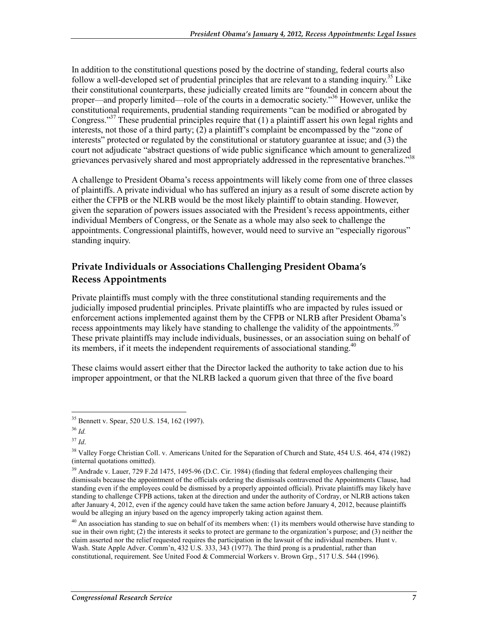In addition to the constitutional questions posed by the doctrine of standing, federal courts also follow a well-developed set of prudential principles that are relevant to a standing inquiry.<sup>35</sup> Like their constitutional counterparts, these judicially created limits are "founded in concern about the proper—and properly limited—role of the courts in a democratic society."<sup>36</sup> However, unlike the constitutional requirements, prudential standing requirements "can be modified or abrogated by Congress."37 These prudential principles require that (1) a plaintiff assert his own legal rights and interests, not those of a third party; (2) a plaintiff's complaint be encompassed by the "zone of interests" protected or regulated by the constitutional or statutory guarantee at issue; and (3) the court not adjudicate "abstract questions of wide public significance which amount to generalized grievances pervasively shared and most appropriately addressed in the representative branches."38

A challenge to President Obama's recess appointments will likely come from one of three classes of plaintiffs. A private individual who has suffered an injury as a result of some discrete action by either the CFPB or the NLRB would be the most likely plaintiff to obtain standing. However, given the separation of powers issues associated with the President's recess appointments, either individual Members of Congress, or the Senate as a whole may also seek to challenge the appointments. Congressional plaintiffs, however, would need to survive an "especially rigorous" standing inquiry.

#### **Private Individuals or Associations Challenging President Obama's Recess Appointments**

Private plaintiffs must comply with the three constitutional standing requirements and the judicially imposed prudential principles. Private plaintiffs who are impacted by rules issued or enforcement actions implemented against them by the CFPB or NLRB after President Obama's recess appointments may likely have standing to challenge the validity of the appointments.<sup>39</sup> These private plaintiffs may include individuals, businesses, or an association suing on behalf of its members, if it meets the independent requirements of associational standing.<sup>40</sup>

These claims would assert either that the Director lacked the authority to take action due to his improper appointment, or that the NLRB lacked a quorum given that three of the five board

<sup>&</sup>lt;u>.</u> 35 Bennett v. Spear, 520 U.S. 154, 162 (1997).

<sup>36</sup> *Id.*

<sup>37</sup> *Id*.

<sup>&</sup>lt;sup>38</sup> Valley Forge Christian Coll. v. Americans United for the Separation of Church and State, 454 U.S. 464, 474 (1982) (internal quotations omitted).

<sup>&</sup>lt;sup>39</sup> Andrade v. Lauer, 729 F.2d 1475, 1495-96 (D.C. Cir. 1984) (finding that federal employees challenging their dismissals because the appointment of the officials ordering the dismissals contravened the Appointments Clause, had standing even if the employees could be dismissed by a properly appointed official). Private plaintiffs may likely have standing to challenge CFPB actions, taken at the direction and under the authority of Cordray, or NLRB actions taken after January 4, 2012, even if the agency could have taken the same action before January 4, 2012, because plaintiffs would be alleging an injury based on the agency improperly taking action against them.

 $^{40}$  An association has standing to sue on behalf of its members when: (1) its members would otherwise have standing to sue in their own right; (2) the interests it seeks to protect are germane to the organization's purpose; and (3) neither the claim asserted nor the relief requested requires the participation in the lawsuit of the individual members. Hunt v. Wash. State Apple Adver. Comm'n, 432 U.S. 333, 343 (1977). The third prong is a prudential, rather than constitutional, requirement. See United Food & Commercial Workers v. Brown Grp*.*, 517 U.S. 544 (1996).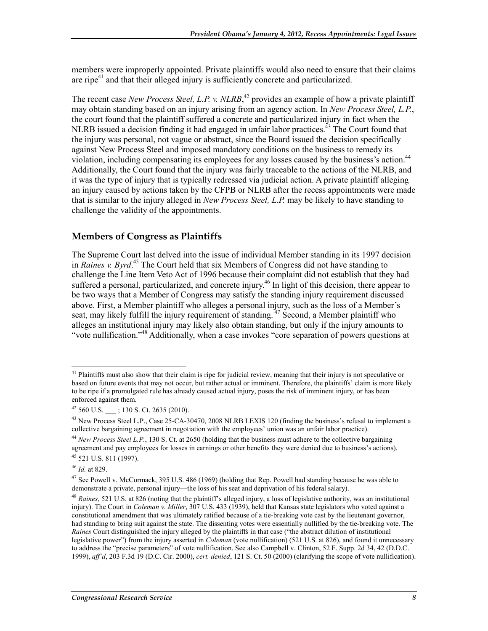members were improperly appointed. Private plaintiffs would also need to ensure that their claims are ripe $4$ <sup>1</sup> and that their alleged injury is sufficiently concrete and particularized.

The recent case *New Process Steel, L.P. v. NLRB*<sup>42</sup> provides an example of how a private plaintiff may obtain standing based on an injury arising from an agency action. In *New Process Steel, L.P.*, the court found that the plaintiff suffered a concrete and particularized injury in fact when the NLRB issued a decision finding it had engaged in unfair labor practices.<sup>43</sup> The Court found that the injury was personal, not vague or abstract, since the Board issued the decision specifically against New Process Steel and imposed mandatory conditions on the business to remedy its violation, including compensating its employees for any losses caused by the business's action.<sup>44</sup> Additionally, the Court found that the injury was fairly traceable to the actions of the NLRB, and it was the type of injury that is typically redressed via judicial action. A private plaintiff alleging an injury caused by actions taken by the CFPB or NLRB after the recess appointments were made that is similar to the injury alleged in *New Process Steel, L.P.* may be likely to have standing to challenge the validity of the appointments.

#### **Members of Congress as Plaintiffs**

The Supreme Court last delved into the issue of individual Member standing in its 1997 decision in *Raines v. Byrd*. 45 The Court held that six Members of Congress did not have standing to challenge the Line Item Veto Act of 1996 because their complaint did not establish that they had suffered a personal, particularized, and concrete injury.<sup>46</sup> In light of this decision, there appear to be two ways that a Member of Congress may satisfy the standing injury requirement discussed above. First, a Member plaintiff who alleges a personal injury, such as the loss of a Member's seat, may likely fulfill the injury requirement of standing.  $47$  Second, a Member plaintiff who alleges an institutional injury may likely also obtain standing, but only if the injury amounts to "vote nullification."48 Additionally, when a case invokes "core separation of powers questions at

<sup>&</sup>lt;u>.</u>  $41$  Plaintiffs must also show that their claim is ripe for judicial review, meaning that their injury is not speculative or based on future events that may not occur, but rather actual or imminent. Therefore, the plaintiffs' claim is more likely to be ripe if a promulgated rule has already caused actual injury, poses the risk of imminent injury, or has been enforced against them.

 $42$  560 U.S.  $\qquad$  ; 130 S. Ct. 2635 (2010).

<sup>&</sup>lt;sup>43</sup> New Process Steel L.P., Case 25-CA-30470, 2008 NLRB LEXIS 120 (finding the business's refusal to implement a collective bargaining agreement in negotiation with the employees' union was an unfair labor practice).

<sup>44</sup> *New Process Steel L.P.*, 130 S. Ct. at 2650 (holding that the business must adhere to the collective bargaining agreement and pay employees for losses in earnings or other benefits they were denied due to business's actions).  $45$  521 U.S. 811 (1997).

<sup>46</sup> *Id.* at 829.

<sup>&</sup>lt;sup>47</sup> See Powell v. McCormack, 395 U.S. 486 (1969) (holding that Rep. Powell had standing because he was able to demonstrate a private, personal injury—the loss of his seat and deprivation of his federal salary).

<sup>48</sup> *Raines*, 521 U.S. at 826 (noting that the plaintiff's alleged injury, a loss of legislative authority, was an institutional injury). The Court in *Coleman v. Miller*, 307 U.S. 433 (1939), held that Kansas state legislators who voted against a constitutional amendment that was ultimately ratified because of a tie-breaking vote cast by the lieutenant governor, had standing to bring suit against the state. The dissenting votes were essentially nullified by the tie-breaking vote. The *Raines* Court distinguished the injury alleged by the plaintiffs in that case ("the abstract dilution of institutional legislative power") from the injury asserted in *Coleman* (vote nullification) (521 U.S. at 826), and found it unnecessary to address the "precise parameters" of vote nullification. See also Campbell v. Clinton, 52 F. Supp. 2d 34, 42 (D.D.C. 1999), *aff'd*, 203 F.3d 19 (D.C. Cir. 2000), *cert. denied*, 121 S. Ct. 50 (2000) (clarifying the scope of vote nullification).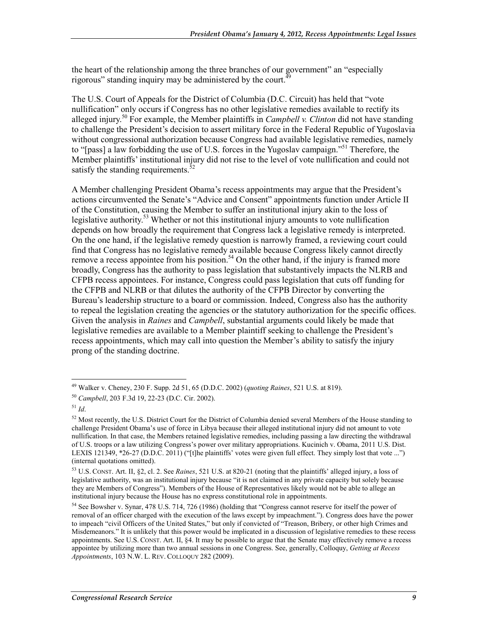the heart of the relationship among the three branches of our government" an "especially rigorous" standing inquiry may be administered by the court.<sup>4</sup>

The U.S. Court of Appeals for the District of Columbia (D.C. Circuit) has held that "vote nullification" only occurs if Congress has no other legislative remedies available to rectify its alleged injury.<sup>50</sup> For example, the Member plaintiffs in *Campbell v. Clinton* did not have standing to challenge the President's decision to assert military force in the Federal Republic of Yugoslavia without congressional authorization because Congress had available legislative remedies, namely to "[pass] a law forbidding the use of U.S. forces in the Yugoslav campaign."<sup>51</sup> Therefore, the Member plaintiffs' institutional injury did not rise to the level of vote nullification and could not satisfy the standing requirements. $52$ 

A Member challenging President Obama's recess appointments may argue that the President's actions circumvented the Senate's "Advice and Consent" appointments function under Article II of the Constitution, causing the Member to suffer an institutional injury akin to the loss of legislative authority.<sup>53</sup> Whether or not this institutional injury amounts to vote nullification depends on how broadly the requirement that Congress lack a legislative remedy is interpreted. On the one hand, if the legislative remedy question is narrowly framed, a reviewing court could find that Congress has no legislative remedy available because Congress likely cannot directly remove a recess appointee from his position.<sup>54</sup> On the other hand, if the injury is framed more broadly, Congress has the authority to pass legislation that substantively impacts the NLRB and CFPB recess appointees. For instance, Congress could pass legislation that cuts off funding for the CFPB and NLRB or that dilutes the authority of the CFPB Director by converting the Bureau's leadership structure to a board or commission. Indeed, Congress also has the authority to repeal the legislation creating the agencies or the statutory authorization for the specific offices. Given the analysis in *Raines* and *Campbell*, substantial arguments could likely be made that legislative remedies are available to a Member plaintiff seeking to challenge the President's recess appointments, which may call into question the Member's ability to satisfy the injury prong of the standing doctrine.

<sup>49</sup> Walker v. Cheney, 230 F. Supp. 2d 51, 65 (D.D.C. 2002) (*quoting Raines*, 521 U.S. at 819).

<sup>50</sup> *Campbell*, 203 F.3d 19, 22-23 (D.C. Cir. 2002).

<sup>51</sup> *Id*.

 $52$  Most recently, the U.S. District Court for the District of Columbia denied several Members of the House standing to challenge President Obama's use of force in Libya because their alleged institutional injury did not amount to vote nullification. In that case, the Members retained legislative remedies, including passing a law directing the withdrawal of U.S. troops or a law utilizing Congress's power over military appropriations. Kucinich v. Obama, 2011 U.S. Dist. LEXIS 121349, \*26-27 (D.D.C. 2011) ("[t]he plaintiffs' votes were given full effect. They simply lost that vote ...") (internal quotations omitted).

<sup>53</sup> U.S. CONST. Art. II, §2, cl. 2. See *Raines*, 521 U.S. at 820-21 (noting that the plaintiffs' alleged injury, a loss of legislative authority, was an institutional injury because "it is not claimed in any private capacity but solely because they are Members of Congress"). Members of the House of Representatives likely would not be able to allege an institutional injury because the House has no express constitutional role in appointments.

<sup>54</sup> See Bowsher v. Synar, 478 U.S. 714, 726 (1986) (holding that "Congress cannot reserve for itself the power of removal of an officer charged with the execution of the laws except by impeachment."). Congress does have the power to impeach "civil Officers of the United States," but only if convicted of "Treason, Bribery, or other high Crimes and Misdemeanors." It is unlikely that this power would be implicated in a discussion of legislative remedies to these recess appointments. See U.S. CONST. Art. II, §4. It may be possible to argue that the Senate may effectively remove a recess appointee by utilizing more than two annual sessions in one Congress. See, generally, Colloquy, *Getting at Recess Appointments*, 103 N.W. L. REV. COLLOQUY 282 (2009).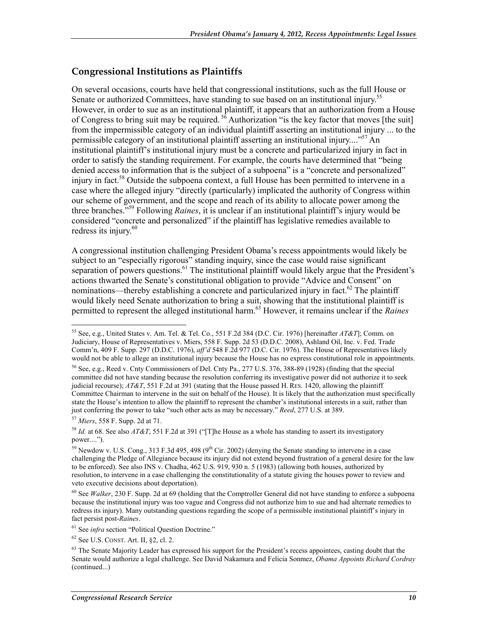#### **Congressional Institutions as Plaintiffs**

On several occasions, courts have held that congressional institutions, such as the full House or Senate or authorized Committees, have standing to sue based on an institutional injury.<sup>55</sup> However, in order to sue as an institutional plaintiff, it appears that an authorization from a House of Congress to bring suit may be required.  $5\overline{6}$  Authorization "is the key factor that moves [the suit] from the impermissible category of an individual plaintiff asserting an institutional injury ... to the permissible category of an institutional plaintiff asserting an institutional injury...."57 An institutional plaintiff's institutional injury must be a concrete and particularized injury in fact in order to satisfy the standing requirement. For example, the courts have determined that "being denied access to information that is the subject of a subpoena" is a "concrete and personalized" injury in fact.<sup>58</sup> Outside the subpoena context, a full House has been permitted to intervene in a case where the alleged injury "directly (particularly) implicated the authority of Congress within our scheme of government, and the scope and reach of its ability to allocate power among the three branches."59 Following *Raines*, it is unclear if an institutional plaintiff's injury would be considered "concrete and personalized" if the plaintiff has legislative remedies available to redress its injury.<sup>60</sup>

A congressional institution challenging President Obama's recess appointments would likely be subject to an "especially rigorous" standing inquiry, since the case would raise significant separation of powers questions.<sup>61</sup> The institutional plaintiff would likely argue that the President's actions thwarted the Senate's constitutional obligation to provide "Advice and Consent" on nominations—thereby establishing a concrete and particularized injury in fact.<sup>62</sup> The plaintiff would likely need Senate authorization to bring a suit, showing that the institutional plaintiff is permitted to represent the alleged institutional harm.63 However, it remains unclear if the *Raines*

<sup>55</sup> See, e.g., United States v. Am. Tel. & Tel. Co., 551 F.2d 384 (D.C. Cir. 1976) [hereinafter *AT&T*]; Comm. on Judiciary, House of Representatives v. Miers, 558 F. Supp. 2d 53 (D.D.C. 2008), Ashland Oil, Inc. v. Fed. Trade Comm'n, 409 F. Supp. 297 (D.D.C. 1976), *aff'd* 548 F.2d 977 (D.C. Cir. 1976). The House of Representatives likely would not be able to allege an institutional injury because the House has no express constitutional role in appointments. 56 See, e.g., Reed v. Cnty Commissioners of Del. Cnty Pa., 277 U.S. 376, 388-89 (1928) (finding that the special committee did not have standing because the resolution conferring its investigative power did not authorize it to seek judicial recourse); *AT&T*, 551 F.2d at 391 (stating that the House passed H. RES. 1420, allowing the plaintiff Committee Chairman to intervene in the suit on behalf of the House). It is likely that the authorization must specifically state the House's intention to allow the plaintiff to represent the chamber's institutional interests in a suit, rather than just conferring the power to take "such other acts as may be necessary." *Reed*, 277 U.S. at 389.

<sup>57</sup> *Miers*, 558 F. Supp. 2d at 71.

<sup>58</sup> *Id.* at 68. See also *AT&T*, 551 F.2d at 391 ("[T]he House as a whole has standing to assert its investigatory power....").

<sup>&</sup>lt;sup>59</sup> Newdow v. U.S. Cong., 313 F.3d 495, 498 (9<sup>th</sup> Cir. 2002) (denying the Senate standing to intervene in a case challenging the Pledge of Allegiance because its injury did not extend beyond frustration of a general desire for the law to be enforced). See also INS v. Chadha, 462 U.S. 919, 930 n. 5 (1983) (allowing both houses, authorized by resolution, to intervene in a case challenging the constitutionality of a statute giving the houses power to review and veto executive decisions about deportation).

<sup>60</sup> See *Walker*, 230 F. Supp. 2d at 69 (holding that the Comptroller General did not have standing to enforce a subpoena because the institutional injury was too vague and Congress did not authorize him to sue and had alternate remedies to redress its injury). Many outstanding questions regarding the scope of a permissible institutional plaintiff's injury in fact persist post-*Raines*.

<sup>61</sup> See *infra* section "Political Question Doctrine."

<sup>62</sup> See U.S. CONST. Art. II, §2, cl. 2.

 $63$  The Senate Majority Leader has expressed his support for the President's recess appointees, casting doubt that the Senate would authorize a legal challenge. See David Nakamura and Felicia Sonmez, *Obama Appoints Richard Cordray*  (continued...)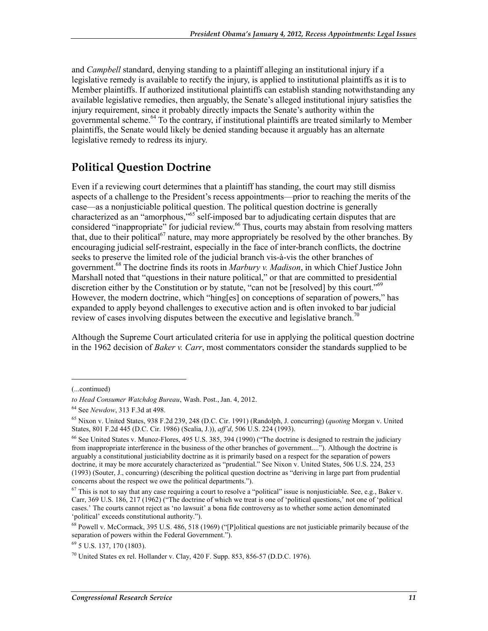and *Campbell* standard, denying standing to a plaintiff alleging an institutional injury if a legislative remedy is available to rectify the injury, is applied to institutional plaintiffs as it is to Member plaintiffs. If authorized institutional plaintiffs can establish standing notwithstanding any available legislative remedies, then arguably, the Senate's alleged institutional injury satisfies the injury requirement, since it probably directly impacts the Senate's authority within the governmental scheme.64 To the contrary, if institutional plaintiffs are treated similarly to Member plaintiffs, the Senate would likely be denied standing because it arguably has an alternate legislative remedy to redress its injury.

### **Political Question Doctrine**

Even if a reviewing court determines that a plaintiff has standing, the court may still dismiss aspects of a challenge to the President's recess appointments—prior to reaching the merits of the case—as a nonjusticiable political question. The political question doctrine is generally characterized as an "amorphous,"65 self-imposed bar to adjudicating certain disputes that are considered "inappropriate" for judicial review.<sup>66</sup> Thus, courts may abstain from resolving matters that, due to their political<sup>67</sup> nature, may more appropriately be resolved by the other branches. By encouraging judicial self-restraint, especially in the face of inter-branch conflicts, the doctrine seeks to preserve the limited role of the judicial branch vis-à-vis the other branches of government.68 The doctrine finds its roots in *Marbury v. Madison*, in which Chief Justice John Marshall noted that "questions in their nature political," or that are committed to presidential discretion either by the Constitution or by statute, "can not be [resolved] by this court."<sup>69</sup> However, the modern doctrine, which "hing[es] on conceptions of separation of powers," has expanded to apply beyond challenges to executive action and is often invoked to bar judicial review of cases involving disputes between the executive and legislative branch.<sup> $0$ </sup>

Although the Supreme Court articulated criteria for use in applying the political question doctrine in the 1962 decision of *Baker v. Carr*, most commentators consider the standards supplied to be

 $\overline{a}$ 

<sup>(...</sup>continued)

*to Head Consumer Watchdog Bureau*, Wash. Post.,Jan. 4, 2012.

<sup>64</sup> See *Newdow*, 313 F.3d at 498.

<sup>65</sup> Nixon v. United States, 938 F.2d 239, 248 (D.C. Cir. 1991) (Randolph, J. concurring) (*quoting* Morgan v. United States, 801 F.2d 445 (D.C. Cir. 1986) (Scalia, J.)), *aff'd*, 506 U.S. 224 (1993).

<sup>66</sup> See United States v. Munoz-Flores, 495 U.S. 385, 394 (1990) ("The doctrine is designed to restrain the judiciary from inappropriate interference in the business of the other branches of government...."). Although the doctrine is arguably a constitutional justiciability doctrine as it is primarily based on a respect for the separation of powers doctrine, it may be more accurately characterized as "prudential." See Nixon v. United States, 506 U.S. 224, 253 (1993) (Souter, J., concurring) (describing the political question doctrine as "deriving in large part from prudential concerns about the respect we owe the political departments.").

 $67$  This is not to say that any case requiring a court to resolve a "political" issue is nonjusticiable. See, e.g., Baker v. Carr, 369 U.S. 186, 217 (1962) ("The doctrine of which we treat is one of 'political questions,' not one of 'political cases.' The courts cannot reject as 'no lawsuit' a bona fide controversy as to whether some action denominated 'political' exceeds constitutional authority.").

 $68$  Powell v. McCormack, 395 U.S. 486, 518 (1969) ("[P]olitical questions are not justiciable primarily because of the separation of powers within the Federal Government.").

<sup>69 5</sup> U.S. 137, 170 (1803).

 $^{70}$  United States ex rel. Hollander v. Clay, 420 F. Supp. 853, 856-57 (D.D.C. 1976).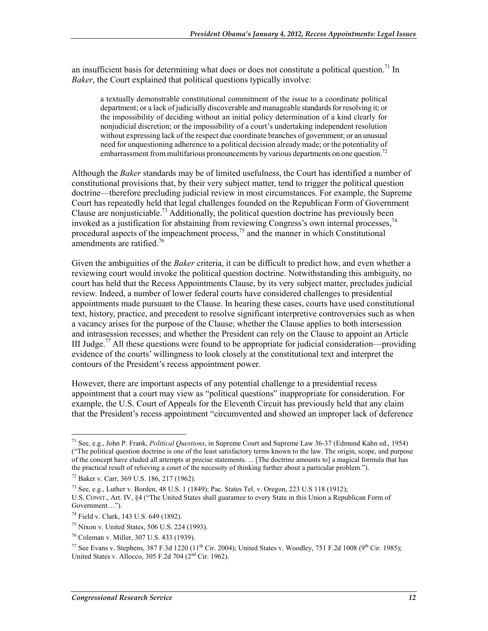an insufficient basis for determining what does or does not constitute a political question.<sup>71</sup> In *Baker*, the Court explained that political questions typically involve:

a textually demonstrable constitutional commitment of the issue to a coordinate political department; or a lack of judicially discoverable and manageable standards for resolving it; or the impossibility of deciding without an initial policy determination of a kind clearly for nonjudicial discretion; or the impossibility of a court's undertaking independent resolution without expressing lack of the respect due coordinate branches of government; or an unusual need for unquestioning adherence to a political decision already made; or the potentiality of embarrassment from multifarious pronouncements by various departments on one question.<sup>72</sup>

Although the *Baker* standards may be of limited usefulness, the Court has identified a number of constitutional provisions that, by their very subject matter, tend to trigger the political question doctrine—therefore precluding judicial review in most circumstances. For example, the Supreme Court has repeatedly held that legal challenges founded on the Republican Form of Government Clause are nonjusticiable.<sup>73</sup> Additionally, the political question doctrine has previously been invoked as a justification for abstaining from reviewing Congress's own internal processes,<sup>74</sup> procedural aspects of the impeachment process,  $^{75}$  and the manner in which Constitutional amendments are ratified.<sup>76</sup>

Given the ambiguities of the *Baker* criteria, it can be difficult to predict how, and even whether a reviewing court would invoke the political question doctrine. Notwithstanding this ambiguity, no court has held that the Recess Appointments Clause, by its very subject matter, precludes judicial review. Indeed, a number of lower federal courts have considered challenges to presidential appointments made pursuant to the Clause. In hearing these cases, courts have used constitutional text, history, practice, and precedent to resolve significant interpretive controversies such as when a vacancy arises for the purpose of the Clause; whether the Clause applies to both intersession and intrasession recesses; and whether the President can rely on the Clause to appoint an Article III Judge.<sup>77</sup> All these questions were found to be appropriate for judicial consideration—providing evidence of the courts' willingness to look closely at the constitutional text and interpret the contours of the President's recess appointment power.

However, there are important aspects of any potential challenge to a presidential recess appointment that a court may view as "political questions" inappropriate for consideration. For example, the U.S. Court of Appeals for the Eleventh Circuit has previously held that any claim that the President's recess appointment "circumvented and showed an improper lack of deference

<u>.</u>

<sup>71</sup> See, e.g., John P. Frank, *Political Questions*, in Supreme Court and Supreme Law 36-37 (Edmund Kahn ed., 1954) ("The political question doctrine is one of the least satisfactory terms known to the law. The origin, scope, and purpose of the concept have eluded all attempts at precise statements. ... [The doctrine amounts to] a magical formula that has the practical result of relieving a court of the necessity of thinking further about a particular problem.").

<sup>72</sup> Baker v. Carr, 369 U.S. 186, 217 (1962).

<sup>73</sup> See, e.g., Luther v. Borden, 48 U.S. 1 (1849); Pac. States Tel. v. Oregon, 223 U.S 118 (1912); U.S. CONST., Art. IV, §4 ("The United States shall guarantee to every State in this Union a Republican Form of Government…").

<sup>74</sup> Field v. Clark, 143 U.S. 649 (1892).

<sup>75</sup> Nixon v. United States, 506 U.S. 224 (1993).

<sup>76</sup> Coleman v. Miller, 307 U.S. 433 (1939).

<sup>&</sup>lt;sup>77</sup> See Evans v. Stephens, 387 F.3d 1220 (11<sup>th</sup> Cir. 2004); United States v. Woodley, 751 F.2d 1008 (9<sup>th</sup> Cir. 1985); United States v. Allocco, 305 F.2d 704 ( $2<sup>nd</sup>$  Cir. 1962).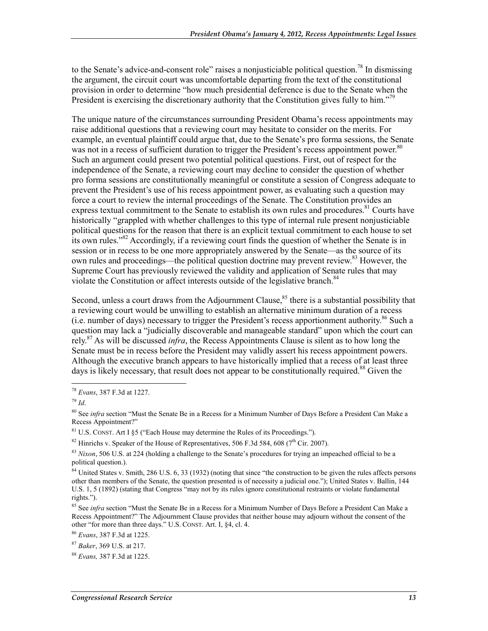to the Senate's advice-and-consent role" raises a nonjusticiable political question.<sup>78</sup> In dismissing the argument, the circuit court was uncomfortable departing from the text of the constitutional provision in order to determine "how much presidential deference is due to the Senate when the President is exercising the discretionary authority that the Constitution gives fully to him."<sup>79</sup>

The unique nature of the circumstances surrounding President Obama's recess appointments may raise additional questions that a reviewing court may hesitate to consider on the merits. For example, an eventual plaintiff could argue that, due to the Senate's pro forma sessions, the Senate was not in a recess of sufficient duration to trigger the President's recess appointment power.<sup>80</sup> Such an argument could present two potential political questions. First, out of respect for the independence of the Senate, a reviewing court may decline to consider the question of whether pro forma sessions are constitutionally meaningful or constitute a session of Congress adequate to prevent the President's use of his recess appointment power, as evaluating such a question may force a court to review the internal proceedings of the Senate. The Constitution provides an express textual commitment to the Senate to establish its own rules and procedures.<sup>81</sup> Courts have historically "grappled with whether challenges to this type of internal rule present nonjusticiable political questions for the reason that there is an explicit textual commitment to each house to set its own rules."<sup>82</sup> Accordingly, if a reviewing court finds the question of whether the Senate is in session or in recess to be one more appropriately answered by the Senate—as the source of its own rules and proceedings—the political question doctrine may prevent review.<sup>83</sup> However, the Supreme Court has previously reviewed the validity and application of Senate rules that may violate the Constitution or affect interests outside of the legislative branch.<sup>84</sup>

Second, unless a court draws from the Adjournment Clause,<sup>85</sup> there is a substantial possibility that a reviewing court would be unwilling to establish an alternative minimum duration of a recess (i.e. number of days) necessary to trigger the President's recess apportionment authority.86 Such a question may lack a "judicially discoverable and manageable standard" upon which the court can rely.87 As will be discussed *infra*, the Recess Appointments Clause is silent as to how long the Senate must be in recess before the President may validly assert his recess appointment powers. Although the executive branch appears to have historically implied that a recess of at least three days is likely necessary, that result does not appear to be constitutionally required.<sup>88</sup> Given the

<sup>78</sup> *Evans*, 387 F.3d at 1227.

<sup>79</sup> *Id*.

<sup>80</sup> See *infra* section "Must the Senate Be in a Recess for a Minimum Number of Days Before a President Can Make a Recess Appointment?"

 $81$  U.S. CONST. Art I §5 ("Each House may determine the Rules of its Proceedings.").

 $82$  Hinrichs v. Speaker of the House of Representatives, 506 F.3d 584, 608 (7<sup>th</sup> Cir. 2007).

<sup>83</sup> *Nixon*, 506 U.S. at 224 (holding a challenge to the Senate's procedures for trying an impeached official to be a political question.).

<sup>&</sup>lt;sup>84</sup> United States v. Smith, 286 U.S. 6, 33 (1932) (noting that since "the construction to be given the rules affects persons other than members of the Senate, the question presented is of necessity a judicial one."); United States v. Ballin, 144 U.S. 1, 5 (1892) (stating that Congress "may not by its rules ignore constitutional restraints or violate fundamental rights.").

<sup>85</sup> See *infra* section "Must the Senate Be in a Recess for a Minimum Number of Days Before a President Can Make a Recess Appointment?" The Adjournment Clause provides that neither house may adjourn without the consent of the other "for more than three days." U.S. CONST. Art. I, §4, cl. 4.

<sup>86</sup> *Evans*, 387 F.3d at 1225.

<sup>87</sup> *Baker*, 369 U.S. at 217.

<sup>88</sup> *Evans,* 387 F.3d at 1225.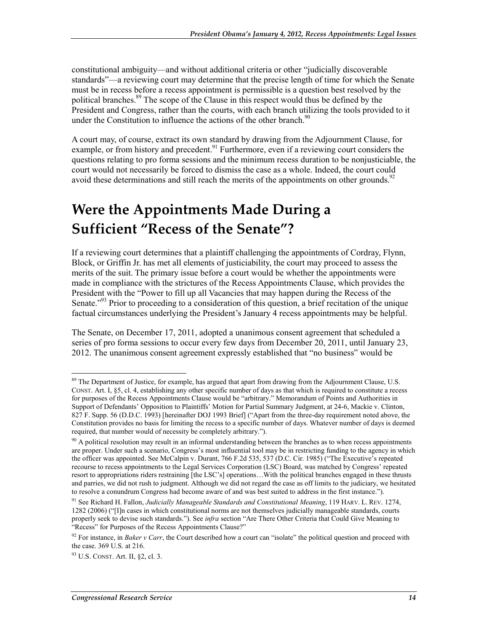constitutional ambiguity—and without additional criteria or other "judicially discoverable standards"—a reviewing court may determine that the precise length of time for which the Senate must be in recess before a recess appointment is permissible is a question best resolved by the political branches.<sup>89</sup> The scope of the Clause in this respect would thus be defined by the President and Congress, rather than the courts, with each branch utilizing the tools provided to it under the Constitution to influence the actions of the other branch. $90$ 

A court may, of course, extract its own standard by drawing from the Adjournment Clause, for example, or from history and precedent.  $91$  Furthermore, even if a reviewing court considers the questions relating to pro forma sessions and the minimum recess duration to be nonjusticiable, the court would not necessarily be forced to dismiss the case as a whole. Indeed, the court could avoid these determinations and still reach the merits of the appointments on other grounds.<sup>92</sup>

## **Were the Appointments Made During a Sufficient "Recess of the Senate"?**

If a reviewing court determines that a plaintiff challenging the appointments of Cordray, Flynn, Block, or Griffin Jr. has met all elements of justiciability, the court may proceed to assess the merits of the suit. The primary issue before a court would be whether the appointments were made in compliance with the strictures of the Recess Appointments Clause, which provides the President with the "Power to fill up all Vacancies that may happen during the Recess of the Senate.<sup>"93</sup> Prior to proceeding to a consideration of this question, a brief recitation of the unique factual circumstances underlying the President's January 4 recess appointments may be helpful.

The Senate, on December 17, 2011, adopted a unanimous consent agreement that scheduled a series of pro forma sessions to occur every few days from December 20, 2011, until January 23, 2012. The unanimous consent agreement expressly established that "no business" would be

<u>.</u>

 $89$  The Department of Justice, for example, has argued that apart from drawing from the Adjournment Clause, U.S. CONST. Art. I, §5, cl. 4, establishing any other specific number of days as that which is required to constitute a recess for purposes of the Recess Appointments Clause would be "arbitrary." Memorandum of Points and Authorities in Support of Defendants' Opposition to Plaintiffs' Motion for Partial Summary Judgment, at 24-6, Mackie v. Clinton, 827 F. Supp. 56 (D.D.C. 1993) [hereinafter DOJ 1993 Brief] ("Apart from the three-day requirement noted above, the Constitution provides no basis for limiting the recess to a specific number of days. Whatever number of days is deemed required, that number would of necessity be completely arbitrary.").

 $90$  A political resolution may result in an informal understanding between the branches as to when recess appointments are proper. Under such a scenario, Congress's most influential tool may be in restricting funding to the agency in which the officer was appointed. See McCalpin v. Durant, 766 F.2d 535, 537 (D.C. Cir. 1985) ("The Executive's repeated recourse to recess appointments to the Legal Services Corporation (LSC) Board, was matched by Congress' repeated resort to appropriations riders restraining [the LSC's] operations…With the political branches engaged in these thrusts and parries, we did not rush to judgment. Although we did not regard the case as off limits to the judiciary, we hesitated to resolve a conundrum Congress had become aware of and was best suited to address in the first instance.").

<sup>91</sup> See Richard H. Fallon, *Judicially Manageable Standards and Constitutional Meaning*, 119 HARV. L. REV. 1274, 1282 (2006) ("[I]n cases in which constitutional norms are not themselves judicially manageable standards, courts properly seek to devise such standards."). See *infra* section "Are There Other Criteria that Could Give Meaning to "Recess" for Purposes of the Recess Appointments Clause?"

<sup>&</sup>lt;sup>92</sup> For instance, in *Baker v Carr*, the Court described how a court can "isolate" the political question and proceed with the case. 369 U.S. at 216.

<sup>93</sup> U.S. CONST. Art. II, §2, cl. 3.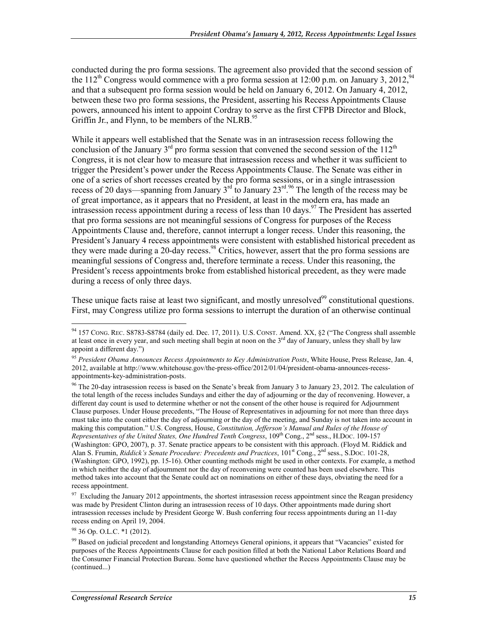conducted during the pro forma sessions. The agreement also provided that the second session of the 112<sup>th</sup> Congress would commence with a pro forma session at 12:00 p.m. on January 3, 2012,<sup>94</sup> and that a subsequent pro forma session would be held on January 6, 2012. On January 4, 2012, between these two pro forma sessions, the President, asserting his Recess Appointments Clause powers, announced his intent to appoint Cordray to serve as the first CFPB Director and Block, Griffin Jr., and Flynn, to be members of the NLRB.<sup>95</sup>

While it appears well established that the Senate was in an intrasession recess following the conclusion of the January  $3<sup>rd</sup>$  pro forma session that convened the second session of the  $112<sup>th</sup>$ Congress, it is not clear how to measure that intrasession recess and whether it was sufficient to trigger the President's power under the Recess Appointments Clause. The Senate was either in one of a series of short recesses created by the pro forma sessions, or in a single intrasession recess of 20 days—spanning from January  $3^{rd}$  to January  $23^{rd}$ .<sup>96</sup> The length of the recess may be of great importance, as it appears that no President, at least in the modern era, has made an intrasession recess appointment during a recess of less than 10 days.<sup>97</sup> The President has asserted that pro forma sessions are not meaningful sessions of Congress for purposes of the Recess Appointments Clause and, therefore, cannot interrupt a longer recess. Under this reasoning, the President's January 4 recess appointments were consistent with established historical precedent as they were made during a 20-day recess.<sup>98</sup> Critics, however, assert that the pro forma sessions are meaningful sessions of Congress and, therefore terminate a recess. Under this reasoning, the President's recess appointments broke from established historical precedent, as they were made during a recess of only three days.

These unique facts raise at least two significant, and mostly unresolved<sup>99</sup> constitutional questions. First, may Congress utilize pro forma sessions to interrupt the duration of an otherwise continual

 $97$  Excluding the January 2012 appointments, the shortest intrasession recess appointment since the Reagan presidency was made by President Clinton during an intrasession recess of 10 days. Other appointments made during short intrasession recesses include by President George W. Bush conferring four recess appointments during an 11-day recess ending on April 19, 2004.

 $98$  36 Op. O.L.C.  $*1$  (2012).

<sup>1</sup>  $94$  157 CONG. REC. S8783-S8784 (daily ed. Dec. 17, 2011). U.S. CONST. Amend. XX,  $\S2$  ("The Congress shall assemble at least once in every year, and such meeting shall begin at noon on the  $3<sup>rd</sup>$  day of January, unless they shall by law appoint a different day.")

<sup>95</sup> *President Obama Announces Recess Appointments to Key Administration Posts*, White House, Press Release, Jan. 4, 2012, available at http://www.whitehouse.gov/the-press-office/2012/01/04/president-obama-announces-recessappointments-key-administration-posts.

<sup>&</sup>lt;sup>96</sup> The 20-day intrasession recess is based on the Senate's break from January 3 to January 23, 2012. The calculation of the total length of the recess includes Sundays and either the day of adjourning or the day of reconvening. However, a different day count is used to determine whether or not the consent of the other house is required for Adjournment Clause purposes. Under House precedents, "The House of Representatives in adjourning for not more than three days must take into the count either the day of adjourning or the day of the meeting, and Sunday is not taken into account in making this computation." U.S. Congress, House, *Constitution, Jefferson's Manual and Rules of the House of Representatives of the United States, One Hundred Tenth Congress*, 109<sup>th</sup> Cong., 2<sup>nd</sup> sess., H.Doc. 109-157 (Washington: GPO, 2007), p. 37. Senate practice appears to be consistent with this approach. (Floyd M. Riddick and Alan S. Frumin, *Riddick's Senate Procedure: Precedents and Practices*, 101<sup>st</sup> Cong., 2<sup>nd</sup> sess., S.Doc. 101-28, (Washington: GPO, 1992), pp. 15-16). Other counting methods might be used in other contexts. For example, a method in which neither the day of adjournment nor the day of reconvening were counted has been used elsewhere. This method takes into account that the Senate could act on nominations on either of these days, obviating the need for a recess appointment.

<sup>&</sup>lt;sup>99</sup> Based on judicial precedent and longstanding Attorneys General opinions, it appears that "Vacancies" existed for purposes of the Recess Appointments Clause for each position filled at both the National Labor Relations Board and the Consumer Financial Protection Bureau. Some have questioned whether the Recess Appointments Clause may be (continued...)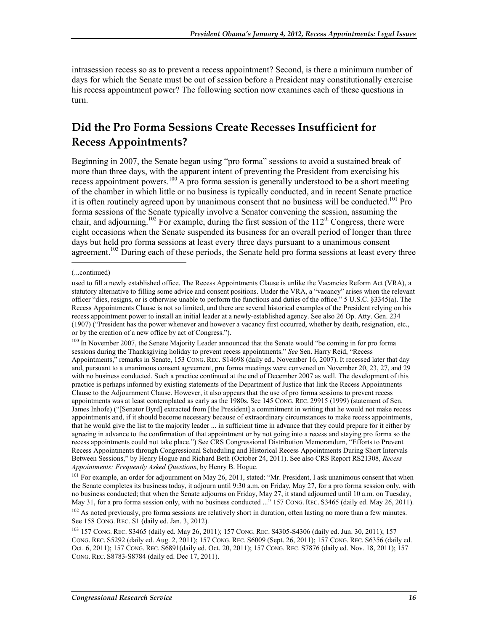intrasession recess so as to prevent a recess appointment? Second, is there a minimum number of days for which the Senate must be out of session before a President may constitutionally exercise his recess appointment power? The following section now examines each of these questions in turn.

### **Did the Pro Forma Sessions Create Recesses Insufficient for Recess Appointments?**

Beginning in 2007, the Senate began using "pro forma" sessions to avoid a sustained break of more than three days, with the apparent intent of preventing the President from exercising his recess appointment powers.100 A pro forma session is generally understood to be a short meeting of the chamber in which little or no business is typically conducted, and in recent Senate practice it is often routinely agreed upon by unanimous consent that no business will be conducted.<sup>101</sup> Pro forma sessions of the Senate typically involve a Senator convening the session, assuming the chair, and adjourning.<sup>102</sup> For example, during the first session of the  $112<sup>th</sup>$  Congress, there were eight occasions when the Senate suspended its business for an overall period of longer than three days but held pro forma sessions at least every three days pursuant to a unanimous consent agreement.<sup>103</sup> During each of these periods, the Senate held pro forma sessions at least every three  $\overline{a}$ 

<sup>100</sup> In November 2007, the Senate Majority Leader announced that the Senate would "be coming in for pro forma sessions during the Thanksgiving holiday to prevent recess appointments." *See* Sen. Harry Reid, "Recess Appointments," remarks in Senate, 153 CONG. REC. S14698 (daily ed., November 16, 2007). It recessed later that day and, pursuant to a unanimous consent agreement, pro forma meetings were convened on November 20, 23, 27, and 29 with no business conducted. Such a practice continued at the end of December 2007 as well. The development of this practice is perhaps informed by existing statements of the Department of Justice that link the Recess Appointments Clause to the Adjournment Clause. However, it also appears that the use of pro forma sessions to prevent recess appointments was at least contemplated as early as the 1980s. See 145 CONG. REC. 29915 (1999) (statement of Sen. James Inhofe) ("[Senator Byrd] extracted from [the President] a commitment in writing that he would not make recess appointments and, if it should become necessary because of extraordinary circumstances to make recess appointments, that he would give the list to the majority leader ... in sufficient time in advance that they could prepare for it either by agreeing in advance to the confirmation of that appointment or by not going into a recess and staying pro forma so the recess appointments could not take place.") See CRS Congressional Distribution Memorandum, "Efforts to Prevent Recess Appointments through Congressional Scheduling and Historical Recess Appointments During Short Intervals Between Sessions," by Henry Hogue and Richard Beth (October 24, 2011). See also CRS Report RS21308, *Recess Appointments: Frequently Asked Questions*, by Henry B. Hogue.

<sup>101</sup> For example, an order for adjournment on May 26, 2011, stated: "Mr. President, I ask unanimous consent that when the Senate completes its business today, it adjourn until 9:30 a.m. on Friday, May 27, for a pro forma session only, with no business conducted; that when the Senate adjourns on Friday, May 27, it stand adjourned until 10 a.m. on Tuesday, May 31, for a pro forma session only, with no business conducted ..." 157 CONG. REC. S3465 (daily ed. May 26, 2011).

<sup>102</sup> As noted previously, pro forma sessions are relatively short in duration, often lasting no more than a few minutes. See 158 CONG. REC. S1 (daily ed. Jan. 3, 2012).

103 157 CONG. REC. S3465 (daily ed. May 26, 2011); 157 CONG. REC. S4305-S4306 (daily ed. Jun. 30, 2011); 157 CONG. REC. S5292 (daily ed. Aug. 2, 2011); 157 CONG. REC. S6009 (Sept. 26, 2011); 157 CONG. REC. S6356 (daily ed. Oct. 6, 2011); 157 CONG. REC. S6891(daily ed. Oct. 20, 2011); 157 CONG. REC. S7876 (daily ed. Nov. 18, 2011); 157 CONG. REC. S8783-S8784 (daily ed. Dec 17, 2011).

<sup>(...</sup>continued)

used to fill a newly established office. The Recess Appointments Clause is unlike the Vacancies Reform Act (VRA), a statutory alternative to filling some advice and consent positions. Under the VRA, a "vacancy" arises when the relevant officer "dies, resigns, or is otherwise unable to perform the functions and duties of the office." 5 U.S.C. §3345(a). The Recess Appointments Clause is not so limited, and there are several historical examples of the President relying on his recess appointment power to install an initial leader at a newly-established agency. See also 26 Op. Atty. Gen. 234 (1907) ("President has the power whenever and however a vacancy first occurred, whether by death, resignation, etc., or by the creation of a new office by act of Congress.").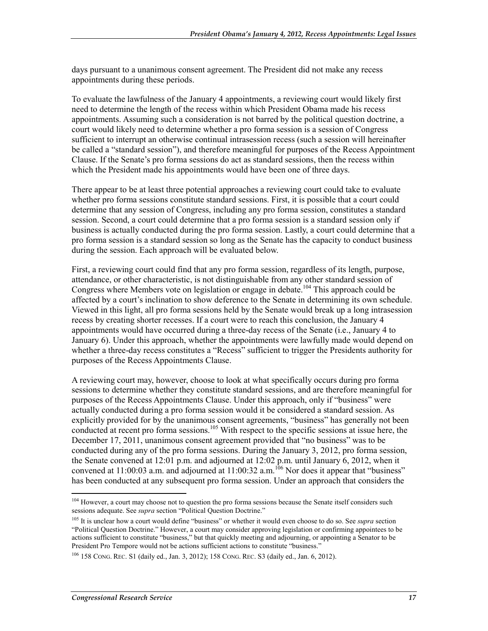days pursuant to a unanimous consent agreement. The President did not make any recess appointments during these periods.

To evaluate the lawfulness of the January 4 appointments, a reviewing court would likely first need to determine the length of the recess within which President Obama made his recess appointments. Assuming such a consideration is not barred by the political question doctrine, a court would likely need to determine whether a pro forma session is a session of Congress sufficient to interrupt an otherwise continual intrasession recess (such a session will hereinafter be called a "standard session"), and therefore meaningful for purposes of the Recess Appointment Clause. If the Senate's pro forma sessions do act as standard sessions, then the recess within which the President made his appointments would have been one of three days.

There appear to be at least three potential approaches a reviewing court could take to evaluate whether pro forma sessions constitute standard sessions. First, it is possible that a court could determine that any session of Congress, including any pro forma session, constitutes a standard session. Second, a court could determine that a pro forma session is a standard session only if business is actually conducted during the pro forma session. Lastly, a court could determine that a pro forma session is a standard session so long as the Senate has the capacity to conduct business during the session. Each approach will be evaluated below.

First, a reviewing court could find that any pro forma session, regardless of its length, purpose, attendance, or other characteristic, is not distinguishable from any other standard session of Congress where Members vote on legislation or engage in debate.<sup>104</sup> This approach could be affected by a court's inclination to show deference to the Senate in determining its own schedule. Viewed in this light, all pro forma sessions held by the Senate would break up a long intrasession recess by creating shorter recesses. If a court were to reach this conclusion, the January 4 appointments would have occurred during a three-day recess of the Senate (i.e., January 4 to January 6). Under this approach, whether the appointments were lawfully made would depend on whether a three-day recess constitutes a "Recess" sufficient to trigger the Presidents authority for purposes of the Recess Appointments Clause.

A reviewing court may, however, choose to look at what specifically occurs during pro forma sessions to determine whether they constitute standard sessions, and are therefore meaningful for purposes of the Recess Appointments Clause. Under this approach, only if "business" were actually conducted during a pro forma session would it be considered a standard session. As explicitly provided for by the unanimous consent agreements, "business" has generally not been conducted at recent pro forma sessions.<sup>105</sup> With respect to the specific sessions at issue here, the December 17, 2011, unanimous consent agreement provided that "no business" was to be conducted during any of the pro forma sessions. During the January 3, 2012, pro forma session, the Senate convened at 12:01 p.m. and adjourned at 12:02 p.m. until January 6, 2012, when it convened at 11:00:03 a.m. and adjourned at  $11:00:32$  a.m.<sup>106</sup> Nor does it appear that "business" has been conducted at any subsequent pro forma session. Under an approach that considers the

<sup>&</sup>lt;sup>104</sup> However, a court may choose not to question the pro forma sessions because the Senate itself considers such sessions adequate. See *supra* section "Political Question Doctrine."

<sup>&</sup>lt;sup>105</sup> It is unclear how a court would define "business" or whether it would even choose to do so. See *supra* section "Political Question Doctrine." However, a court may consider approving legislation or confirming appointees to be actions sufficient to constitute "business," but that quickly meeting and adjourning, or appointing a Senator to be President Pro Tempore would not be actions sufficient actions to constitute "business."

<sup>106 158</sup> CONG. REC. S1 (daily ed., Jan. 3, 2012); 158 CONG. REC. S3 (daily ed., Jan. 6, 2012).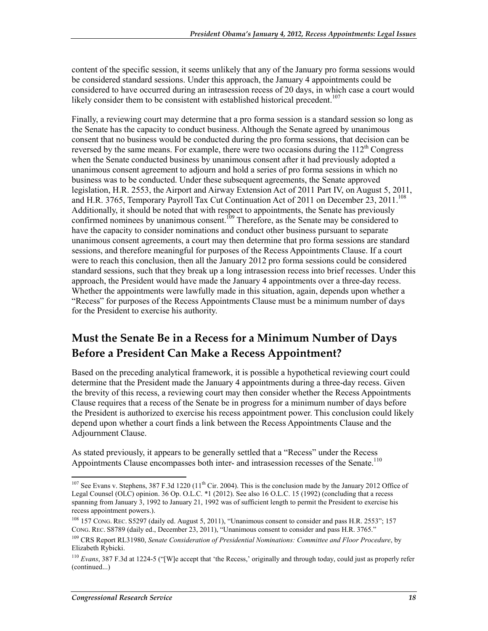content of the specific session, it seems unlikely that any of the January pro forma sessions would be considered standard sessions. Under this approach, the January 4 appointments could be considered to have occurred during an intrasession recess of 20 days, in which case a court would likely consider them to be consistent with established historical precedent.<sup>107</sup>

Finally, a reviewing court may determine that a pro forma session is a standard session so long as the Senate has the capacity to conduct business. Although the Senate agreed by unanimous consent that no business would be conducted during the pro forma sessions, that decision can be reversed by the same means. For example, there were two occasions during the  $112<sup>th</sup>$  Congress when the Senate conducted business by unanimous consent after it had previously adopted a unanimous consent agreement to adjourn and hold a series of pro forma sessions in which no business was to be conducted. Under these subsequent agreements, the Senate approved legislation, H.R. 2553, the Airport and Airway Extension Act of 2011 Part IV, on August 5, 2011, and H.R. 3765, Temporary Payroll Tax Cut Continuation Act of 2011 on December 23, 2011.<sup>108</sup> Additionally, it should be noted that with respect to appointments, the Senate has previously confirmed nominees by unanimous consent.<sup>109</sup> Therefore, as the Senate may be considered to have the capacity to consider nominations and conduct other business pursuant to separate unanimous consent agreements, a court may then determine that pro forma sessions are standard sessions, and therefore meaningful for purposes of the Recess Appointments Clause. If a court were to reach this conclusion, then all the January 2012 pro forma sessions could be considered standard sessions, such that they break up a long intrasession recess into brief recesses. Under this approach, the President would have made the January 4 appointments over a three-day recess. Whether the appointments were lawfully made in this situation, again, depends upon whether a "Recess" for purposes of the Recess Appointments Clause must be a minimum number of days for the President to exercise his authority.

### **Must the Senate Be in a Recess for a Minimum Number of Days Before a President Can Make a Recess Appointment?**

Based on the preceding analytical framework, it is possible a hypothetical reviewing court could determine that the President made the January 4 appointments during a three-day recess. Given the brevity of this recess, a reviewing court may then consider whether the Recess Appointments Clause requires that a recess of the Senate be in progress for a minimum number of days before the President is authorized to exercise his recess appointment power. This conclusion could likely depend upon whether a court finds a link between the Recess Appointments Clause and the Adjournment Clause.

As stated previously, it appears to be generally settled that a "Recess" under the Recess Appointments Clause encompasses both inter- and intrasession recesses of the Senate.<sup>110</sup>

 $107$  See Evans v. Stephens, 387 F.3d 1220 ( $11<sup>th</sup>$  Cir. 2004). This is the conclusion made by the January 2012 Office of Legal Counsel (OLC) opinion. 36 Op. O.L.C. \*1 (2012). See also 16 O.L.C. 15 (1992) (concluding that a recess spanning from January 3, 1992 to January 21, 1992 was of sufficient length to permit the President to exercise his recess appointment powers.).

<sup>&</sup>lt;sup>108</sup> 157 CONG. REC. S5297 (daily ed. August 5, 2011), "Unanimous consent to consider and pass H.R. 2553"; 157 CONG. REC. S8789 (daily ed., December 23, 2011), "Unanimous consent to consider and pass H.R. 3765."

<sup>109</sup> CRS Report RL31980, *Senate Consideration of Presidential Nominations: Committee and Floor Procedure*, by Elizabeth Rybicki.

<sup>110</sup> *Evans*, 387 F.3d at 1224-5 ("[W]e accept that 'the Recess,' originally and through today, could just as properly refer (continued...)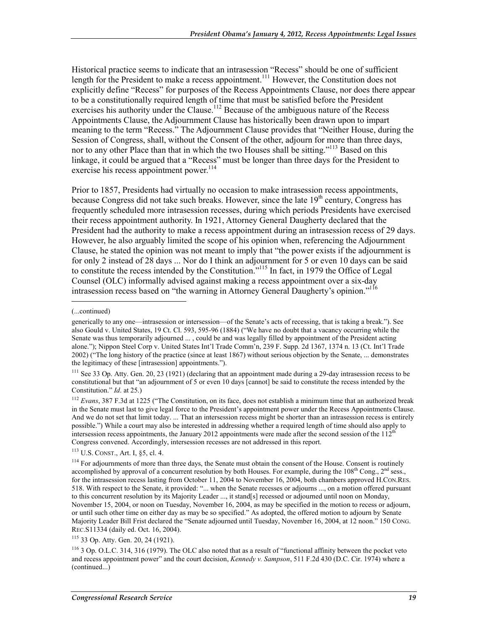Historical practice seems to indicate that an intrasession "Recess" should be one of sufficient length for the President to make a recess appointment.<sup>111</sup> However, the Constitution does not explicitly define "Recess" for purposes of the Recess Appointments Clause, nor does there appear to be a constitutionally required length of time that must be satisfied before the President exercises his authority under the Clause.<sup>112</sup> Because of the ambiguous nature of the Recess Appointments Clause, the Adjournment Clause has historically been drawn upon to impart meaning to the term "Recess." The Adjournment Clause provides that "Neither House, during the Session of Congress, shall, without the Consent of the other, adjourn for more than three days, nor to any other Place than that in which the two Houses shall be sitting."<sup>113</sup> Based on this linkage, it could be argued that a "Recess" must be longer than three days for the President to exercise his recess appointment power.<sup>114</sup>

Prior to 1857, Presidents had virtually no occasion to make intrasession recess appointments, because Congress did not take such breaks. However, since the late  $19<sup>th</sup>$  century, Congress has frequently scheduled more intrasession recesses, during which periods Presidents have exercised their recess appointment authority. In 1921, Attorney General Daugherty declared that the President had the authority to make a recess appointment during an intrasession recess of 29 days. However, he also arguably limited the scope of his opinion when, referencing the Adjournment Clause, he stated the opinion was not meant to imply that "the power exists if the adjournment is for only 2 instead of 28 days ... Nor do I think an adjournment for 5 or even 10 days can be said to constitute the recess intended by the Constitution.<sup>"115</sup> In fact, in 1979 the Office of Legal Counsel (OLC) informally advised against making a recess appointment over a six-day intrasession recess based on "the warning in Attorney General Daugherty's opinion."<sup>116</sup>

 $\overline{a}$ 

 $111$  See 33 Op. Atty. Gen. 20, 23 (1921) (declaring that an appointment made during a 29-day intrasession recess to be constitutional but that "an adjournment of 5 or even 10 days [cannot] be said to constitute the recess intended by the Constitution." *Id*. at 25.)

<sup>112</sup> *Evans*, 387 F.3d at 1225 ("The Constitution, on its face, does not establish a minimum time that an authorized break in the Senate must last to give legal force to the President's appointment power under the Recess Appointments Clause. And we do not set that limit today. ... That an intersession recess might be shorter than an intrasession recess is entirely possible.") While a court may also be interested in addressing whether a required length of time should also apply to intersession recess appointments, the January 2012 appointments were made after the second session of the  $112^{th}$ Congress convened. Accordingly, intersession recesses are not addressed in this report.

113 U.S. CONST., Art. I, §5, cl. 4.

115 33 Op. Atty. Gen. 20, 24 (1921).

<sup>(...</sup>continued)

generically to any one—intrasession or intersession—of the Senate's acts of recessing, that is taking a break."). See also Gould v. United States, 19 Ct. Cl. 593, 595-96 (1884) ("We have no doubt that a vacancy occurring while the Senate was thus temporarily adjourned ... , could be and was legally filled by appointment of the President acting alone."); Nippon Steel Corp v. United States Int'l Trade Comm'n, 239 F. Supp. 2d 1367, 1374 n. 13 (Ct. Int'l Trade 2002) ("The long history of the practice (since at least 1867) without serious objection by the Senate, ... demonstrates the legitimacy of these [intrasession] appointments.").

<sup>&</sup>lt;sup>114</sup> For adjournments of more than three days, the Senate must obtain the consent of the House. Consent is routinely accomplished by approval of a concurrent resolution by both Houses. For example, during the  $108^{th}$  Cong.,  $2^{nd}$  sess., for the intrasession recess lasting from October 11, 2004 to November 16, 2004, both chambers approved H.CON.RES. 518. With respect to the Senate, it provided: "... when the Senate recesses or adjourns ..., on a motion offered pursuant to this concurrent resolution by its Majority Leader ..., it stand[s] recessed or adjourned until noon on Monday, November 15, 2004, or noon on Tuesday, November 16, 2004, as may be specified in the motion to recess or adjourn, or until such other time on either day as may be so specified." As adopted, the offered motion to adjourn by Senate Majority Leader Bill Frist declared the "Senate adjourned until Tuesday, November 16, 2004, at 12 noon." 150 CONG. REC.S11334 (daily ed. Oct. 16, 2004).

<sup>116 3</sup> Op. O.L.C. 314, 316 (1979). The OLC also noted that as a result of "functional affinity between the pocket veto and recess appointment power" and the court decision, *Kennedy v. Sampson*, 511 F.2d 430 (D.C. Cir. 1974) where a (continued...)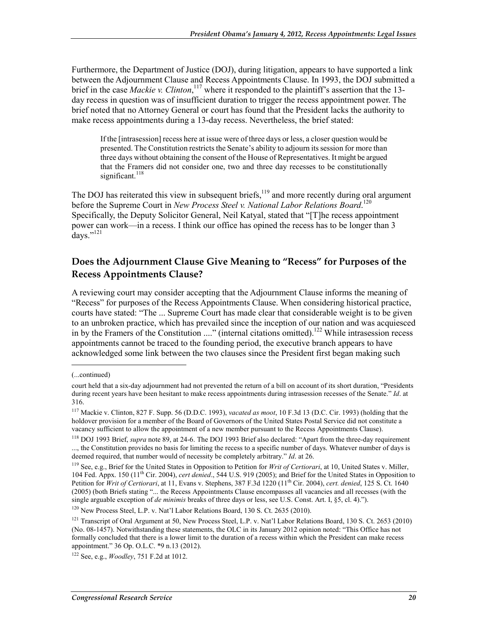Furthermore, the Department of Justice (DOJ), during litigation, appears to have supported a link between the Adjournment Clause and Recess Appointments Clause. In 1993, the DOJ submitted a brief in the case *Mackie v. Clinton*,<sup>117</sup> where it responded to the plaintiff's assertion that the 13day recess in question was of insufficient duration to trigger the recess appointment power. The brief noted that no Attorney General or court has found that the President lacks the authority to make recess appointments during a 13-day recess. Nevertheless, the brief stated:

If the [intrasession] recess here at issue were of three days or less, a closer question would be presented. The Constitution restricts the Senate's ability to adjourn its session for more than three days without obtaining the consent of the House of Representatives. It might be argued that the Framers did not consider one, two and three day recesses to be constitutionally significant.<sup>118</sup>

The DOJ has reiterated this view in subsequent briefs,<sup>119</sup> and more recently during oral argument before the Supreme Court in *New Process Steel v. National Labor Relations Board*. 120 Specifically, the Deputy Solicitor General, Neil Katyal, stated that "[T]he recess appointment power can work—in a recess. I think our office has opined the recess has to be longer than 3 days." $^{121}$ 

#### **Does the Adjournment Clause Give Meaning to "Recess" for Purposes of the Recess Appointments Clause?**

A reviewing court may consider accepting that the Adjournment Clause informs the meaning of "Recess" for purposes of the Recess Appointments Clause. When considering historical practice, courts have stated: "The ... Supreme Court has made clear that considerable weight is to be given to an unbroken practice, which has prevailed since the inception of our nation and was acquiesced in by the Framers of the Constitution ...." (internal citations omitted).122 While intrasession recess appointments cannot be traced to the founding period, the executive branch appears to have acknowledged some link between the two clauses since the President first began making such

1

<sup>120</sup> New Process Steel, L.P. v. Nat'l Labor Relations Board, 130 S. Ct. 2635 (2010).

<sup>(...</sup>continued)

court held that a six-day adjournment had not prevented the return of a bill on account of its short duration, "Presidents during recent years have been hesitant to make recess appointments during intrasession recesses of the Senate." *Id*. at 316.

<sup>117</sup> Mackie v. Clinton, 827 F. Supp. 56 (D.D.C. 1993), *vacated as moot*, 10 F.3d 13 (D.C. Cir. 1993) (holding that the holdover provision for a member of the Board of Governors of the United States Postal Service did not constitute a vacancy sufficient to allow the appointment of a new member pursuant to the Recess Appointments Clause).

<sup>118</sup> DOJ 1993 Brief, *supra* note 89, at 24-6. The DOJ 1993 Brief also declared: "Apart from the three-day requirement ..., the Constitution provides no basis for limiting the recess to a specific number of days. Whatever number of days is deemed required, that number would of necessity be completely arbitrary." *Id*. at 26.

<sup>119</sup> See, e.g., Brief for the United States in Opposition to Petition for *Writ of Certiorari*, at 10, United States v. Miller, 104 Fed. Appx. 150 (11th Cir. 2004), *cert denied*., 544 U.S. 919 (2005); and Brief for the United States in Opposition to Petition for *Writ of Certiorari*, at 11, Evans v. Stephens, 387 F.3d 1220 (11<sup>th</sup> Cir. 2004), *cert. denied*, 125 S. Ct. 1640 (2005) (both Briefs stating "... the Recess Appointments Clause encompasses all vacancies and all recesses (with the single arguable exception of *de minimis* breaks of three days or less, see U.S. Const. Art. I, §5, cl. 4).").

<sup>&</sup>lt;sup>121</sup> Transcript of Oral Argument at 50, New Process Steel, L.P. v. Nat'l Labor Relations Board, 130 S. Ct. 2653 (2010) (No. 08-1457). Notwithstanding these statements, the OLC in its January 2012 opinion noted: "This Office has not formally concluded that there is a lower limit to the duration of a recess within which the President can make recess appointment." 36 Op. O.L.C. \*9 n.13 (2012).

<sup>122</sup> See, e.g., *Woodley*, 751 F.2d at 1012.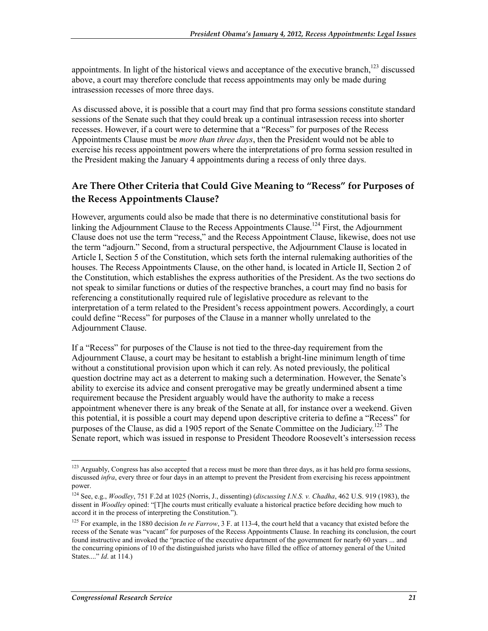appointments. In light of the historical views and acceptance of the executive branch,<sup>123</sup> discussed above, a court may therefore conclude that recess appointments may only be made during intrasession recesses of more three days.

As discussed above, it is possible that a court may find that pro forma sessions constitute standard sessions of the Senate such that they could break up a continual intrasession recess into shorter recesses. However, if a court were to determine that a "Recess" for purposes of the Recess Appointments Clause must be *more than three days*, then the President would not be able to exercise his recess appointment powers where the interpretations of pro forma session resulted in the President making the January 4 appointments during a recess of only three days.

#### **Are There Other Criteria that Could Give Meaning to "Recess" for Purposes of the Recess Appointments Clause?**

However, arguments could also be made that there is no determinative constitutional basis for linking the Adjournment Clause to the Recess Appointments Clause.<sup>124</sup> First, the Adjournment Clause does not use the term "recess," and the Recess Appointment Clause, likewise, does not use the term "adjourn." Second, from a structural perspective, the Adjournment Clause is located in Article I, Section 5 of the Constitution, which sets forth the internal rulemaking authorities of the houses. The Recess Appointments Clause, on the other hand, is located in Article II, Section 2 of the Constitution, which establishes the express authorities of the President. As the two sections do not speak to similar functions or duties of the respective branches, a court may find no basis for referencing a constitutionally required rule of legislative procedure as relevant to the interpretation of a term related to the President's recess appointment powers. Accordingly, a court could define "Recess" for purposes of the Clause in a manner wholly unrelated to the Adjournment Clause.

If a "Recess" for purposes of the Clause is not tied to the three-day requirement from the Adjournment Clause, a court may be hesitant to establish a bright-line minimum length of time without a constitutional provision upon which it can rely. As noted previously, the political question doctrine may act as a deterrent to making such a determination. However, the Senate's ability to exercise its advice and consent prerogative may be greatly undermined absent a time requirement because the President arguably would have the authority to make a recess appointment whenever there is any break of the Senate at all, for instance over a weekend. Given this potential, it is possible a court may depend upon descriptive criteria to define a "Recess" for purposes of the Clause, as did a 1905 report of the Senate Committee on the Judiciary.<sup>125</sup> The Senate report, which was issued in response to President Theodore Roosevelt's intersession recess

<u>.</u>

<sup>&</sup>lt;sup>123</sup> Arguably, Congress has also accepted that a recess must be more than three days, as it has held pro forma sessions, discussed *infra*, every three or four days in an attempt to prevent the President from exercising his recess appointment power.

<sup>124</sup> See, e.g., *Woodley*, 751 F.2d at 1025 (Norris, J., dissenting) (*discussing I.N.S. v. Chadha*, 462 U.S. 919 (1983), the dissent in *Woodley* opined: "[T]he courts must critically evaluate a historical practice before deciding how much to accord it in the process of interpreting the Constitution.").

<sup>&</sup>lt;sup>125</sup> For example, in the 1880 decision *In re Farrow*, 3 F. at 113-4, the court held that a vacancy that existed before the recess of the Senate was "vacant" for purposes of the Recess Appointments Clause. In reaching its conclusion, the court found instructive and invoked the "practice of the executive department of the government for nearly 60 years ... and the concurring opinions of 10 of the distinguished jurists who have filled the office of attorney general of the United States...." *Id.* at 114.)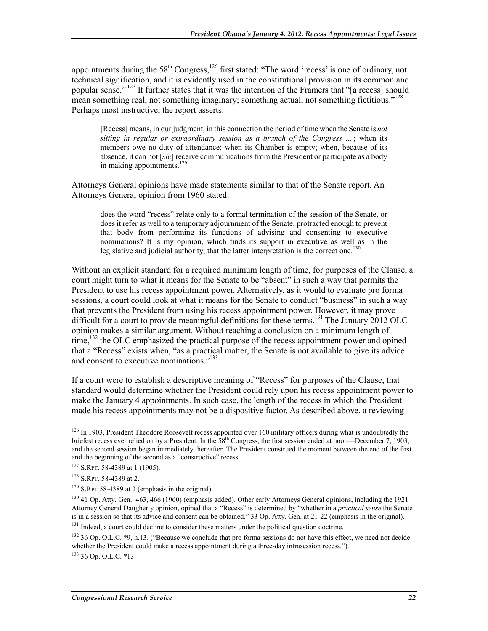appointments during the  $58<sup>th</sup>$  Congress,<sup>126</sup> first stated: "The word 'recess' is one of ordinary, not technical signification, and it is evidently used in the constitutional provision in its common and popular sense." 127 It further states that it was the intention of the Framers that "[a recess] should mean something real, not something imaginary; something actual, not something fictitious."<sup>128</sup> Perhaps most instructive, the report asserts:

[Recess] means, in our judgment, in this connection the period of time when the Senate is *not sitting in regular or extraordinary session as a branch of the Congress* ... ; when its members owe no duty of attendance; when its Chamber is empty; when, because of its absence, it can not [*sic*] receive communications from the President or participate as a body in making appointments.<sup>129</sup>

Attorneys General opinions have made statements similar to that of the Senate report. An Attorneys General opinion from 1960 stated:

does the word "recess" relate only to a formal termination of the session of the Senate, or does it refer as well to a temporary adjournment of the Senate, protracted enough to prevent that body from performing its functions of advising and consenting to executive nominations? It is my opinion, which finds its support in executive as well as in the legislative and judicial authority, that the latter interpretation is the correct one.<sup>130</sup>

Without an explicit standard for a required minimum length of time, for purposes of the Clause, a court might turn to what it means for the Senate to be "absent" in such a way that permits the President to use his recess appointment power. Alternatively, as it would to evaluate pro forma sessions, a court could look at what it means for the Senate to conduct "business" in such a way that prevents the President from using his recess appointment power. However, it may prove difficult for a court to provide meaningful definitions for these terms.<sup>131</sup> The January 2012 OLC opinion makes a similar argument. Without reaching a conclusion on a minimum length of time,<sup>132</sup> the OLC emphasized the practical purpose of the recess appointment power and opined that a "Recess" exists when, "as a practical matter, the Senate is not available to give its advice and consent to executive nominations."<sup>133</sup>

If a court were to establish a descriptive meaning of "Recess" for purposes of the Clause, that standard would determine whether the President could rely upon his recess appointment power to make the January 4 appointments. In such case, the length of the recess in which the President made his recess appointments may not be a dispositive factor. As described above, a reviewing

<u>.</u>

<sup>&</sup>lt;sup>126</sup> In 1903, President Theodore Roosevelt recess appointed over 160 military officers during what is undoubtedly the briefest recess ever relied on by a President. In the  $58<sup>th</sup>$  Congress, the first session ended at noon—December 7, 1903, and the second session began immediately thereafter. The President construed the moment between the end of the first and the beginning of the second as a "constructive" recess.

<sup>127</sup> S.RPT. 58-4389 at 1 (1905).

<sup>128</sup> S.RPT. 58-4389 at 2.

<sup>129</sup> S.RPT 58-4389 at 2 (emphasis in the original).

<sup>&</sup>lt;sup>130</sup> 41 Op. Atty. Gen., 463, 466 (1960) (emphasis added). Other early Attorneys General opinions, including the 1921 Attorney General Daugherty opinion, opined that a "Recess" is determined by "whether in a *practical sense* the Senate is in a session so that its advice and consent can be obtained." 33 Op. Atty. Gen. at 21-22 (emphasis in the original).

<sup>&</sup>lt;sup>131</sup> Indeed, a court could decline to consider these matters under the political question doctrine.

 $132$  36 Op. O.L.C.  $*9$ , n.13. ("Because we conclude that pro forma sessions do not have this effect, we need not decide whether the President could make a recess appointment during a three-day intrasession recess.").  $133$  36 Op. O.L.C. \*13.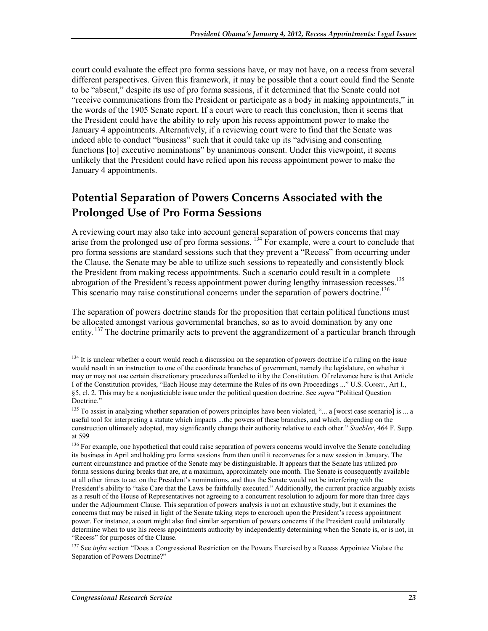court could evaluate the effect pro forma sessions have, or may not have, on a recess from several different perspectives. Given this framework, it may be possible that a court could find the Senate to be "absent," despite its use of pro forma sessions, if it determined that the Senate could not "receive communications from the President or participate as a body in making appointments," in the words of the 1905 Senate report. If a court were to reach this conclusion, then it seems that the President could have the ability to rely upon his recess appointment power to make the January 4 appointments. Alternatively, if a reviewing court were to find that the Senate was indeed able to conduct "business" such that it could take up its "advising and consenting functions [to] executive nominations" by unanimous consent. Under this viewpoint, it seems unlikely that the President could have relied upon his recess appointment power to make the January 4 appointments.

### **Potential Separation of Powers Concerns Associated with the Prolonged Use of Pro Forma Sessions**

A reviewing court may also take into account general separation of powers concerns that may arise from the prolonged use of pro forma sessions. 134 For example, were a court to conclude that pro forma sessions are standard sessions such that they prevent a "Recess" from occurring under the Clause, the Senate may be able to utilize such sessions to repeatedly and consistently block the President from making recess appointments. Such a scenario could result in a complete abrogation of the President's recess appointment power during lengthy intrasession recesses.<sup>135</sup> This scenario may raise constitutional concerns under the separation of powers doctrine.<sup>136</sup>

The separation of powers doctrine stands for the proposition that certain political functions must be allocated amongst various governmental branches, so as to avoid domination by any one entity. <sup>137</sup> The doctrine primarily acts to prevent the aggrandizement of a particular branch through

<sup>1</sup> <sup>134</sup> It is unclear whether a court would reach a discussion on the separation of powers doctrine if a ruling on the issue would result in an instruction to one of the coordinate branches of government, namely the legislature, on whether it may or may not use certain discretionary procedures afforded to it by the Constitution. Of relevance here is that Article I of the Constitution provides, "Each House may determine the Rules of its own Proceedings ..." U.S. CONST., Art I., §5, cl. 2. This may be a nonjusticiable issue under the political question doctrine. See *supra* "Political Question Doctrine."

<sup>&</sup>lt;sup>135</sup> To assist in analyzing whether separation of powers principles have been violated, "... a [worst case scenario] is ... a useful tool for interpreting a statute which impacts ...the powers of these branches, and which, depending on the construction ultimately adopted, may significantly change their authority relative to each other." *Staebler*, 464 F. Supp. at 599

<sup>&</sup>lt;sup>136</sup> For example, one hypothetical that could raise separation of powers concerns would involve the Senate concluding its business in April and holding pro forma sessions from then until it reconvenes for a new session in January. The current circumstance and practice of the Senate may be distinguishable. It appears that the Senate has utilized pro forma sessions during breaks that are, at a maximum, approximately one month. The Senate is consequently available at all other times to act on the President's nominations, and thus the Senate would not be interfering with the President's ability to "take Care that the Laws be faithfully executed." Additionally, the current practice arguably exists as a result of the House of Representatives not agreeing to a concurrent resolution to adjourn for more than three days under the Adjournment Clause. This separation of powers analysis is not an exhaustive study, but it examines the concerns that may be raised in light of the Senate taking steps to encroach upon the President's recess appointment power. For instance, a court might also find similar separation of powers concerns if the President could unilaterally determine when to use his recess appointments authority by independently determining when the Senate is, or is not, in "Recess" for purposes of the Clause.

<sup>&</sup>lt;sup>137</sup> See *infra* section "Does a Congressional Restriction on the Powers Exercised by a Recess Appointee Violate the Separation of Powers Doctrine?"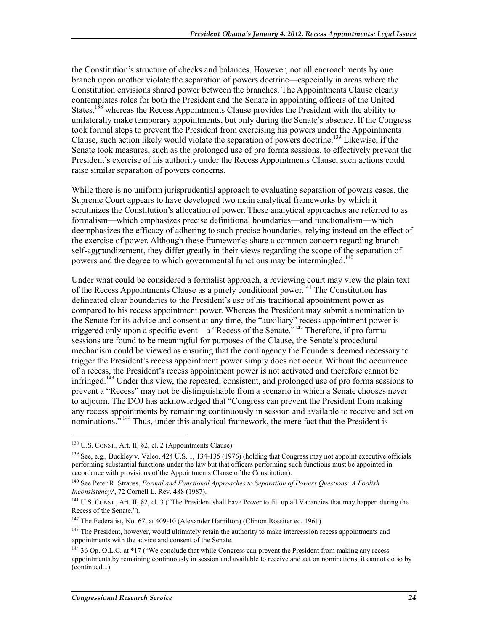the Constitution's structure of checks and balances. However, not all encroachments by one branch upon another violate the separation of powers doctrine—especially in areas where the Constitution envisions shared power between the branches. The Appointments Clause clearly contemplates roles for both the President and the Senate in appointing officers of the United States,<sup>138</sup> whereas the Recess Appointments Clause provides the President with the ability to unilaterally make temporary appointments, but only during the Senate's absence. If the Congress took formal steps to prevent the President from exercising his powers under the Appointments Clause, such action likely would violate the separation of powers doctrine.<sup>139</sup> Likewise, if the Senate took measures, such as the prolonged use of pro forma sessions, to effectively prevent the President's exercise of his authority under the Recess Appointments Clause, such actions could raise similar separation of powers concerns.

While there is no uniform jurisprudential approach to evaluating separation of powers cases, the Supreme Court appears to have developed two main analytical frameworks by which it scrutinizes the Constitution's allocation of power. These analytical approaches are referred to as formalism—which emphasizes precise definitional boundaries—and functionalism—which deemphasizes the efficacy of adhering to such precise boundaries, relying instead on the effect of the exercise of power. Although these frameworks share a common concern regarding branch self-aggrandizement, they differ greatly in their views regarding the scope of the separation of powers and the degree to which governmental functions may be intermingled.<sup>140</sup>

Under what could be considered a formalist approach, a reviewing court may view the plain text of the Recess Appointments Clause as a purely conditional power.<sup>141</sup> The Constitution has delineated clear boundaries to the President's use of his traditional appointment power as compared to his recess appointment power. Whereas the President may submit a nomination to the Senate for its advice and consent at any time, the "auxiliary" recess appointment power is triggered only upon a specific event—a "Recess of the Senate.<sup>"142</sup> Therefore, if pro forma sessions are found to be meaningful for purposes of the Clause, the Senate's procedural mechanism could be viewed as ensuring that the contingency the Founders deemed necessary to trigger the President's recess appointment power simply does not occur. Without the occurrence of a recess, the President's recess appointment power is not activated and therefore cannot be infringed.<sup>143</sup> Under this view, the repeated, consistent, and prolonged use of pro forma sessions to prevent a "Recess" may not be distinguishable from a scenario in which a Senate chooses never to adjourn. The DOJ has acknowledged that "Congress can prevent the President from making any recess appointments by remaining continuously in session and available to receive and act on nominations."<sup>144</sup> Thus, under this analytical framework, the mere fact that the President is

<u>.</u>

 $138$  U.S. CONST., Art. II, §2, cl. 2 (Appointments Clause).

<sup>&</sup>lt;sup>139</sup> See, e.g., Buckley v. Valeo, 424 U.S. 1, 134-135 (1976) (holding that Congress may not appoint executive officials performing substantial functions under the law but that officers performing such functions must be appointed in accordance with provisions of the Appointments Clause of the Constitution).

<sup>140</sup> See Peter R. Strauss, *Formal and Functional Approaches to Separation of Powers Questions: A Foolish Inconsistency?*, 72 Cornell L. Rev. 488 (1987).

<sup>&</sup>lt;sup>141</sup> U.S. CONST., Art. II, §2, cl. 3 ("The President shall have Power to fill up all Vacancies that may happen during the Recess of the Senate.").

<sup>&</sup>lt;sup>142</sup> The Federalist, No. 67, at 409-10 (Alexander Hamilton) (Clinton Rossiter ed. 1961)

<sup>&</sup>lt;sup>143</sup> The President, however, would ultimately retain the authority to make intercession recess appointments and appointments with the advice and consent of the Senate.

<sup>&</sup>lt;sup>144</sup> 36 Op. O.L.C. at \*17 ("We conclude that while Congress can prevent the President from making any recess appointments by remaining continuously in session and available to receive and act on nominations, it cannot do so by (continued...)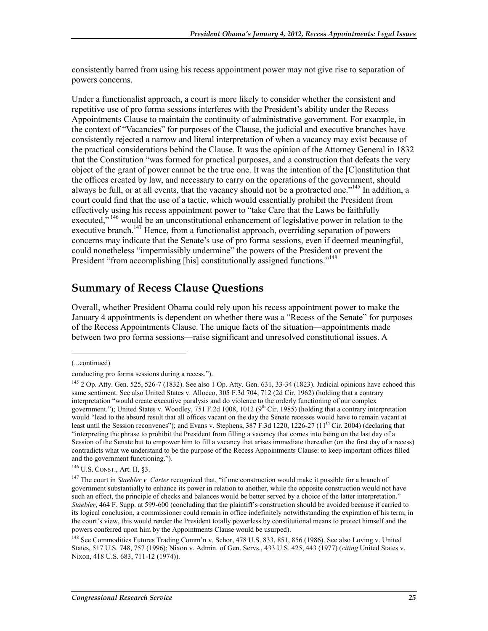consistently barred from using his recess appointment power may not give rise to separation of powers concerns.

Under a functionalist approach, a court is more likely to consider whether the consistent and repetitive use of pro forma sessions interferes with the President's ability under the Recess Appointments Clause to maintain the continuity of administrative government. For example, in the context of "Vacancies" for purposes of the Clause, the judicial and executive branches have consistently rejected a narrow and literal interpretation of when a vacancy may exist because of the practical considerations behind the Clause. It was the opinion of the Attorney General in 1832 that the Constitution "was formed for practical purposes, and a construction that defeats the very object of the grant of power cannot be the true one. It was the intention of the [C]onstitution that the offices created by law, and necessary to carry on the operations of the government, should always be full, or at all events, that the vacancy should not be a protracted one."145 In addition, a court could find that the use of a tactic, which would essentially prohibit the President from effectively using his recess appointment power to "take Care that the Laws be faithfully executed,"<sup>146</sup> would be an unconstitutional enhancement of legislative power in relation to the executive branch.<sup>147</sup> Hence, from a functionalist approach, overriding separation of powers concerns may indicate that the Senate's use of pro forma sessions, even if deemed meaningful, could nonetheless "impermissibly undermine" the powers of the President or prevent the President "from accomplishing [his] constitutionally assigned functions."<sup>148</sup>

### **Summary of Recess Clause Questions**

Overall, whether President Obama could rely upon his recess appointment power to make the January 4 appointments is dependent on whether there was a "Recess of the Senate" for purposes of the Recess Appointments Clause. The unique facts of the situation—appointments made between two pro forma sessions—raise significant and unresolved constitutional issues. A

<sup>(...</sup>continued)

conducting pro forma sessions during a recess.").

<sup>145 2</sup> Op. Atty. Gen. 525, 526-7 (1832). See also 1 Op. Atty. Gen. 631, 33-34 (1823). Judicial opinions have echoed this same sentiment. See also United States v. Allocco, 305 F.3d 704, 712 (2d Cir. 1962) (holding that a contrary interpretation "would create executive paralysis and do violence to the orderly functioning of our complex government."); United States v. Woodley, 751 F.2d 1008, 1012 (9<sup>th</sup> Cir. 1985) (holding that a contrary interpretation would "lead to the absurd result that all offices vacant on the day the Senate recesses would have to remain vacant at least until the Session reconvenes"); and Evans v. Stephens,  $387$  F.3d 1220, 1226-27 (11<sup>th</sup> Cir. 2004) (declaring that "interpreting the phrase to prohibit the President from filling a vacancy that comes into being on the last day of a Session of the Senate but to empower him to fill a vacancy that arises immediate thereafter (on the first day of a recess) contradicts what we understand to be the purpose of the Recess Appointments Clause: to keep important offices filled and the government functioning.").

<sup>146</sup> U.S. CONST., Art. II, §3.

<sup>&</sup>lt;sup>147</sup> The court in *Staebler v. Carter* recognized that, "if one construction would make it possible for a branch of government substantially to enhance its power in relation to another, while the opposite construction would not have such an effect, the principle of checks and balances would be better served by a choice of the latter interpretation." *Staebler*, 464 F. Supp. at 599-600 (concluding that the plaintiff's construction should be avoided because if carried to its logical conclusion, a commissioner could remain in office indefinitely notwithstanding the expiration of his term; in the court's view, this would render the President totally powerless by constitutional means to protect himself and the powers conferred upon him by the Appointments Clause would be usurped).

<sup>148</sup> See Commodities Futures Trading Comm'n v. Schor, 478 U.S. 833, 851, 856 (1986). See also Loving v. United States, 517 U.S. 748, 757 (1996); Nixon v. Admin. of Gen. Servs., 433 U.S. 425, 443 (1977) (*citing* United States v. Nixon, 418 U.S. 683, 711-12 (1974)).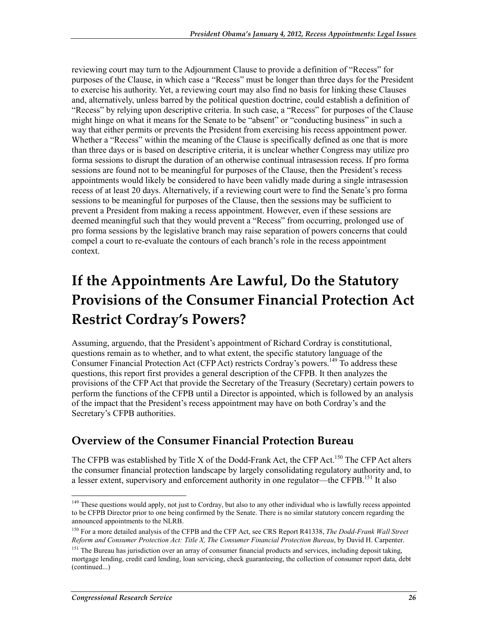reviewing court may turn to the Adjournment Clause to provide a definition of "Recess" for purposes of the Clause, in which case a "Recess" must be longer than three days for the President to exercise his authority. Yet, a reviewing court may also find no basis for linking these Clauses and, alternatively, unless barred by the political question doctrine, could establish a definition of "Recess" by relying upon descriptive criteria. In such case, a "Recess" for purposes of the Clause might hinge on what it means for the Senate to be "absent" or "conducting business" in such a way that either permits or prevents the President from exercising his recess appointment power. Whether a "Recess" within the meaning of the Clause is specifically defined as one that is more than three days or is based on descriptive criteria, it is unclear whether Congress may utilize pro forma sessions to disrupt the duration of an otherwise continual intrasession recess. If pro forma sessions are found not to be meaningful for purposes of the Clause, then the President's recess appointments would likely be considered to have been validly made during a single intrasession recess of at least 20 days. Alternatively, if a reviewing court were to find the Senate's pro forma sessions to be meaningful for purposes of the Clause, then the sessions may be sufficient to prevent a President from making a recess appointment. However, even if these sessions are deemed meaningful such that they would prevent a "Recess" from occurring, prolonged use of pro forma sessions by the legislative branch may raise separation of powers concerns that could compel a court to re-evaluate the contours of each branch's role in the recess appointment context.

## **If the Appointments Are Lawful, Do the Statutory Provisions of the Consumer Financial Protection Act Restrict Cordray's Powers?**

Assuming, arguendo, that the President's appointment of Richard Cordray is constitutional, questions remain as to whether, and to what extent, the specific statutory language of the Consumer Financial Protection Act (CFP Act) restricts Cordray's powers.<sup>149</sup> To address these questions, this report first provides a general description of the CFPB. It then analyzes the provisions of the CFP Act that provide the Secretary of the Treasury (Secretary) certain powers to perform the functions of the CFPB until a Director is appointed, which is followed by an analysis of the impact that the President's recess appointment may have on both Cordray's and the Secretary's CFPB authorities.

### **Overview of the Consumer Financial Protection Bureau**

The CFPB was established by Title X of the Dodd-Frank Act, the CFP Act.<sup>150</sup> The CFP Act alters the consumer financial protection landscape by largely consolidating regulatory authority and, to a lesser extent, supervisory and enforcement authority in one regulator—the CFPB.<sup>151</sup> It also

<sup>&</sup>lt;sup>149</sup> These questions would apply, not just to Cordray, but also to any other individual who is lawfully recess appointed to be CFPB Director prior to one being confirmed by the Senate. There is no similar statutory concern regarding the announced appointments to the NLRB.

<sup>150</sup> For a more detailed analysis of the CFPB and the CFP Act, see CRS Report R41338, *The Dodd-Frank Wall Street Reform and Consumer Protection Act: Title X, The Consumer Financial Protection Bureau*, by David H. Carpenter.

<sup>&</sup>lt;sup>151</sup> The Bureau has jurisdiction over an array of consumer financial products and services, including deposit taking, mortgage lending, credit card lending, loan servicing, check guaranteeing, the collection of consumer report data, debt (continued...)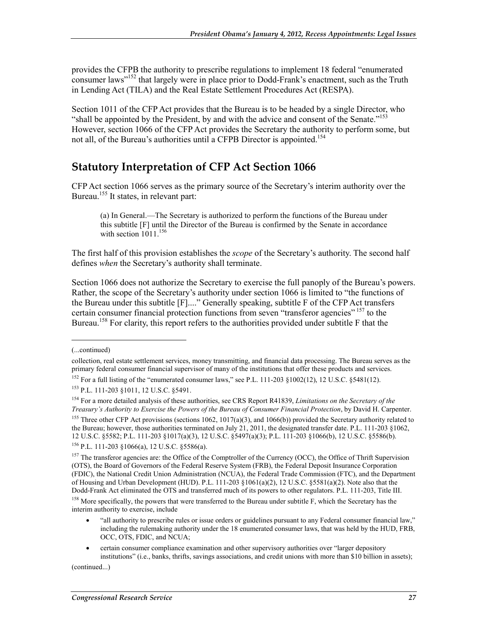provides the CFPB the authority to prescribe regulations to implement 18 federal "enumerated consumer laws<sup>"152</sup> that largely were in place prior to Dodd-Frank's enactment, such as the Truth in Lending Act (TILA) and the Real Estate Settlement Procedures Act (RESPA).

Section 1011 of the CFP Act provides that the Bureau is to be headed by a single Director, who "shall be appointed by the President, by and with the advice and consent of the Senate."<sup>153</sup> However, section 1066 of the CFP Act provides the Secretary the authority to perform some, but not all, of the Bureau's authorities until a CFPB Director is appointed.<sup>154</sup>

### **Statutory Interpretation of CFP Act Section 1066**

CFP Act section 1066 serves as the primary source of the Secretary's interim authority over the Bureau.<sup>155</sup> It states, in relevant part:

(a) In General.—The Secretary is authorized to perform the functions of the Bureau under this subtitle [F] until the Director of the Bureau is confirmed by the Senate in accordance with section  $1011$ .<sup>156</sup>

The first half of this provision establishes the *scope* of the Secretary's authority. The second half defines *when* the Secretary's authority shall terminate.

Section 1066 does not authorize the Secretary to exercise the full panoply of the Bureau's powers. Rather, the scope of the Secretary's authority under section 1066 is limited to "the functions of the Bureau under this subtitle [F]...." Generally speaking, subtitle F of the CFP Act transfers certain consumer financial protection functions from seven "transferor agencies" 157 to the Bureau.<sup>158</sup> For clarity, this report refers to the authorities provided under subtitle F that the

1

<sup>155</sup> Three other CFP Act provisions (sections 1062, 1017(a)(3), and 1066(b)) provided the Secretary authority related to the Bureau; however, those authorities terminated on July 21, 2011, the designated transfer date. P.L. 111-203 §1062, 12 U.S.C. §5582; P.L. 111-203 §1017(a)(3), 12 U.S.C. §5497(a)(3); P.L. 111-203 §1066(b), 12 U.S.C. §5586(b).  $156$  P.L. 111-203 §1066(a), 12 U.S.C. §5586(a).

- "all authority to prescribe rules or issue orders or guidelines pursuant to any Federal consumer financial law," including the rulemaking authority under the 18 enumerated consumer laws, that was held by the HUD, FRB, OCC, OTS, FDIC, and NCUA;
- certain consumer compliance examination and other supervisory authorities over "larger depository institutions" (i.e., banks, thrifts, savings associations, and credit unions with more than \$10 billion in assets);

(continued...)

<sup>(...</sup>continued)

collection, real estate settlement services, money transmitting, and financial data processing. The Bureau serves as the primary federal consumer financial supervisor of many of the institutions that offer these products and services.

<sup>&</sup>lt;sup>152</sup> For a full listing of the "enumerated consumer laws," see P.L. 111-203 §1002(12), 12 U.S.C. §5481(12).

<sup>153</sup> P.L. 111-203 §1011, 12 U.S.C. §5491.

<sup>154</sup> For a more detailed analysis of these authorities, see CRS Report R41839, *Limitations on the Secretary of the Treasury's Authority to Exercise the Powers of the Bureau of Consumer Financial Protection*, by David H. Carpenter.

<sup>&</sup>lt;sup>157</sup> The transferor agencies are: the Office of the Comptroller of the Currency (OCC), the Office of Thrift Supervision (OTS), the Board of Governors of the Federal Reserve System (FRB), the Federal Deposit Insurance Corporation (FDIC), the National Credit Union Administration (NCUA), the Federal Trade Commission (FTC), and the Department of Housing and Urban Development (HUD). P.L. 111-203 §1061(a)(2), 12 U.S.C. §5581(a)(2). Note also that the

Dodd-Frank Act eliminated the OTS and transferred much of its powers to other regulators. P.L. 111-203, Title III.

<sup>&</sup>lt;sup>158</sup> More specifically, the powers that were transferred to the Bureau under subtitle F, which the Secretary has the interim authority to exercise, include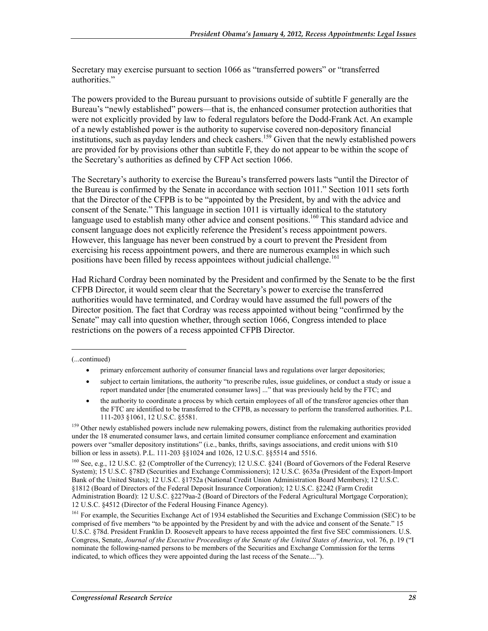Secretary may exercise pursuant to section 1066 as "transferred powers" or "transferred authorities."

The powers provided to the Bureau pursuant to provisions outside of subtitle F generally are the Bureau's "newly established" powers—that is, the enhanced consumer protection authorities that were not explicitly provided by law to federal regulators before the Dodd-Frank Act. An example of a newly established power is the authority to supervise covered non-depository financial institutions, such as payday lenders and check cashers.<sup>159</sup> Given that the newly established powers are provided for by provisions other than subtitle F, they do not appear to be within the scope of the Secretary's authorities as defined by CFP Act section 1066.

The Secretary's authority to exercise the Bureau's transferred powers lasts "until the Director of the Bureau is confirmed by the Senate in accordance with section 1011." Section 1011 sets forth that the Director of the CFPB is to be "appointed by the President, by and with the advice and consent of the Senate." This language in section 1011 is virtually identical to the statutory language used to establish many other advice and consent positions.<sup>160</sup> This standard advice and consent language does not explicitly reference the President's recess appointment powers. However, this language has never been construed by a court to prevent the President from exercising his recess appointment powers, and there are numerous examples in which such positions have been filled by recess appointees without judicial challenge.<sup>161</sup>

Had Richard Cordray been nominated by the President and confirmed by the Senate to be the first CFPB Director, it would seem clear that the Secretary's power to exercise the transferred authorities would have terminated, and Cordray would have assumed the full powers of the Director position. The fact that Cordray was recess appointed without being "confirmed by the Senate" may call into question whether, through section 1066, Congress intended to place restrictions on the powers of a recess appointed CFPB Director.

1

- subject to certain limitations, the authority "to prescribe rules, issue guidelines, or conduct a study or issue a report mandated under [the enumerated consumer laws] ..." that was previously held by the FTC; and
- the authority to coordinate a process by which certain employees of all of the transferor agencies other than the FTC are identified to be transferred to the CFPB, as necessary to perform the transferred authorities. P.L. 111-203 §1061, 12 U.S.C. §5581.

<sup>159</sup> Other newly established powers include new rulemaking powers, distinct from the rulemaking authorities provided under the 18 enumerated consumer laws, and certain limited consumer compliance enforcement and examination powers over "smaller depository institutions" (i.e., banks, thrifts, savings associations, and credit unions with \$10 billion or less in assets). P.L. 111-203 §§1024 and 1026, 12 U.S.C. §§5514 and 5516.

160 See, e.g., 12 U.S.C. §2 (Comptroller of the Currency); 12 U.S.C. §241 (Board of Governors of the Federal Reserve System); 15 U.S.C. §78D (Securities and Exchange Commissioners); 12 U.S.C. §635a (President of the Export-Import Bank of the United States); 12 U.S.C. §1752a (National Credit Union Administration Board Members); 12 U.S.C. §1812 (Board of Directors of the Federal Deposit Insurance Corporation); 12 U.S.C. §2242 (Farm Credit Administration Board): 12 U.S.C. §2279aa-2 (Board of Directors of the Federal Agricultural Mortgage Corporation); 12 U.S.C. §4512 (Director of the Federal Housing Finance Agency).

<sup>161</sup> For example, the Securities Exchange Act of 1934 established the Securities and Exchange Commission (SEC) to be comprised of five members "to be appointed by the President by and with the advice and consent of the Senate." 15 U.S.C. §78d. President Franklin D. Roosevelt appears to have recess appointed the first five SEC commissioners. U.S. Congress, Senate, *Journal of the Executive Proceedings of the Senate of the United States of America*, vol. 76, p. 19 ("I nominate the following-named persons to be members of the Securities and Exchange Commission for the terms indicated, to which offices they were appointed during the last recess of the Senate....").

<sup>(...</sup>continued)

<sup>•</sup> primary enforcement authority of consumer financial laws and regulations over larger depositories;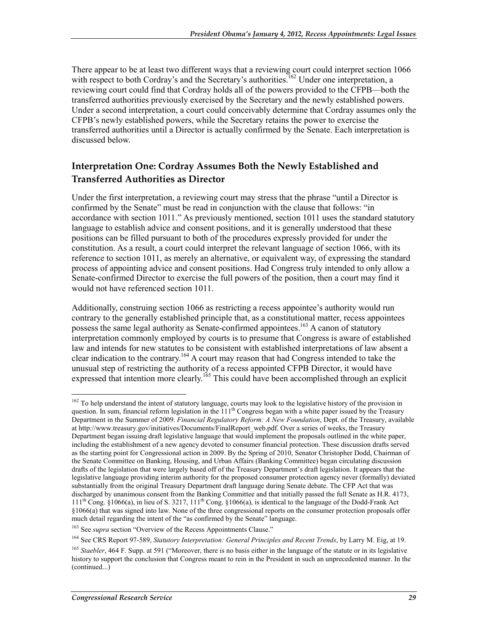There appear to be at least two different ways that a reviewing court could interpret section 1066 with respect to both Cordray's and the Secretary's authorities.<sup>162</sup> Under one interpretation, a reviewing court could find that Cordray holds all of the powers provided to the CFPB—both the transferred authorities previously exercised by the Secretary and the newly established powers. Under a second interpretation, a court could conceivably determine that Cordray assumes only the CFPB's newly established powers, while the Secretary retains the power to exercise the transferred authorities until a Director is actually confirmed by the Senate. Each interpretation is discussed below.

#### **Interpretation One: Cordray Assumes Both the Newly Established and Transferred Authorities as Director**

Under the first interpretation, a reviewing court may stress that the phrase "until a Director is confirmed by the Senate" must be read in conjunction with the clause that follows: "in accordance with section 1011." As previously mentioned, section 1011 uses the standard statutory language to establish advice and consent positions, and it is generally understood that these positions can be filled pursuant to both of the procedures expressly provided for under the constitution. As a result, a court could interpret the relevant language of section 1066, with its reference to section 1011, as merely an alternative, or equivalent way, of expressing the standard process of appointing advice and consent positions. Had Congress truly intended to only allow a Senate-confirmed Director to exercise the full powers of the position, then a court may find it would not have referenced section 1011.

Additionally, construing section 1066 as restricting a recess appointee's authority would run contrary to the generally established principle that, as a constitutional matter, recess appointees possess the same legal authority as Senate-confirmed appointees.<sup>163</sup> A canon of statutory interpretation commonly employed by courts is to presume that Congress is aware of established law and intends for new statutes to be consistent with established interpretations of law absent a clear indication to the contrary.164 A court may reason that had Congress intended to take the unusual step of restricting the authority of a recess appointed CFPB Director, it would have expressed that intention more clearly.<sup>165</sup> This could have been accomplished through an explicit

<u>.</u>

<sup>&</sup>lt;sup>162</sup> To help understand the intent of statutory language, courts may look to the legislative history of the provision in question. In sum, financial reform legislation in the 111<sup>th</sup> Congress began with a white paper issued by the Treasury Department in the Summer of 2009. *Financial Regulatory Reform: A New Foundation*, Dept. of the Treasury, available at http://www.treasury.gov/initiatives/Documents/FinalReport\_web.pdf. Over a series of weeks, the Treasury Department began issuing draft legislative language that would implement the proposals outlined in the white paper, including the establishment of a new agency devoted to consumer financial protection. These discussion drafts served as the starting point for Congressional action in 2009. By the Spring of 2010, Senator Christopher Dodd, Chairman of the Senate Committee on Banking, Housing, and Urban Affairs (Banking Committee) began circulating discussion drafts of the legislation that were largely based off of the Treasury Department's draft legislation. It appears that the legislative language providing interim authority for the proposed consumer protection agency never (formally) deviated substantially from the original Treasury Department draft language during Senate debate. The CFP Act that was discharged by unanimous consent from the Banking Committee and that initially passed the full Senate as H.R. 4173, 111th Cong. §1066(a), in lieu of S. 3217, 111th Cong. §1066(a), is identical to the language of the Dodd-Frank Act §1066(a) that was signed into law. None of the three congressional reports on the consumer protection proposals offer much detail regarding the intent of the "as confirmed by the Senate" language.

<sup>&</sup>lt;sup>163</sup> See *supra* section "Overview of the Recess Appointments Clause."

<sup>164</sup> See CRS Report 97-589, *Statutory Interpretation: General Principles and Recent Trends*, by Larry M. Eig, at 19.

<sup>&</sup>lt;sup>165</sup> *Staebler*, 464 F. Supp. at 591 ("Moreover, there is no basis either in the language of the statute or in its legislative history to support the conclusion that Congress meant to rein in the President in such an unprecedented manner. In the (continued...)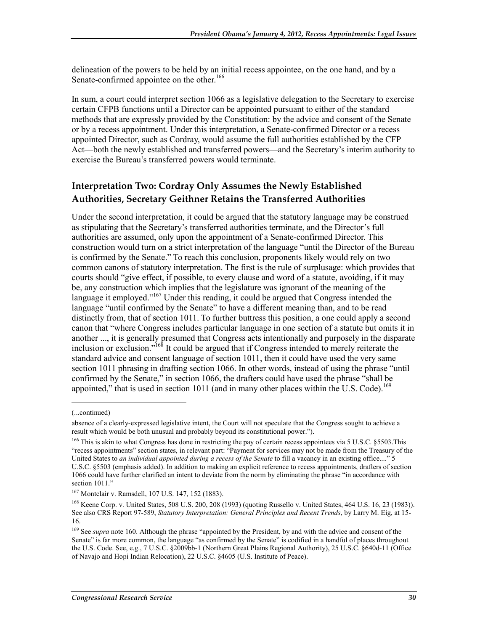delineation of the powers to be held by an initial recess appointee, on the one hand, and by a Senate-confirmed appointee on the other.<sup>166</sup>

In sum, a court could interpret section 1066 as a legislative delegation to the Secretary to exercise certain CFPB functions until a Director can be appointed pursuant to either of the standard methods that are expressly provided by the Constitution: by the advice and consent of the Senate or by a recess appointment. Under this interpretation, a Senate-confirmed Director or a recess appointed Director, such as Cordray, would assume the full authorities established by the CFP Act—both the newly established and transferred powers—and the Secretary's interim authority to exercise the Bureau's transferred powers would terminate.

#### **Interpretation Two: Cordray Only Assumes the Newly Established Authorities, Secretary Geithner Retains the Transferred Authorities**

Under the second interpretation, it could be argued that the statutory language may be construed as stipulating that the Secretary's transferred authorities terminate, and the Director's full authorities are assumed, only upon the appointment of a Senate-confirmed Director. This construction would turn on a strict interpretation of the language "until the Director of the Bureau is confirmed by the Senate." To reach this conclusion, proponents likely would rely on two common canons of statutory interpretation. The first is the rule of surplusage: which provides that courts should "give effect, if possible, to every clause and word of a statute, avoiding, if it may be, any construction which implies that the legislature was ignorant of the meaning of the language it employed."<sup>167</sup> Under this reading, it could be argued that Congress intended the language "until confirmed by the Senate" to have a different meaning than, and to be read distinctly from, that of section 1011. To further buttress this position, a one could apply a second canon that "where Congress includes particular language in one section of a statute but omits it in another ..., it is generally presumed that Congress acts intentionally and purposely in the disparate inclusion or exclusion."168 It could be argued that if Congress intended to merely reiterate the standard advice and consent language of section 1011, then it could have used the very same section 1011 phrasing in drafting section 1066. In other words, instead of using the phrase "until confirmed by the Senate," in section 1066, the drafters could have used the phrase "shall be appointed," that is used in section 1011 (and in many other places within the U.S. Code).<sup>169</sup>

 $\overline{a}$ 

<sup>(...</sup>continued)

absence of a clearly-expressed legislative intent, the Court will not speculate that the Congress sought to achieve a result which would be both unusual and probably beyond its constitutional power.").

<sup>&</sup>lt;sup>166</sup> This is akin to what Congress has done in restricting the pay of certain recess appointees via 5 U.S.C. §5503.This "recess appointments" section states, in relevant part: "Payment for services may not be made from the Treasury of the United States to *an individual appointed during a recess of the Senate* to fill a vacancy in an existing office...." 5 U.S.C. §5503 (emphasis added). In addition to making an explicit reference to recess appointments, drafters of section 1066 could have further clarified an intent to deviate from the norm by eliminating the phrase "in accordance with section 1011."

<sup>167</sup> Montclair v. Ramsdell, 107 U.S. 147, 152 (1883).

<sup>168</sup> Keene Corp. v. United States, 508 U.S. 200, 208 (1993) (quoting Russello v. United States, 464 U.S. 16, 23 (1983)). See also CRS Report 97-589, *Statutory Interpretation: General Principles and Recent Trends*, by Larry M. Eig, at 15- 16.

<sup>&</sup>lt;sup>169</sup> See *supra* note 160. Although the phrase "appointed by the President, by and with the advice and consent of the Senate" is far more common, the language "as confirmed by the Senate" is codified in a handful of places throughout the U.S. Code. See, e.g., 7 U.S.C. §2009bb-1 (Northern Great Plains Regional Authority), 25 U.S.C. §640d-11 (Office of Navajo and Hopi Indian Relocation), 22 U.S.C. §4605 (U.S. Institute of Peace).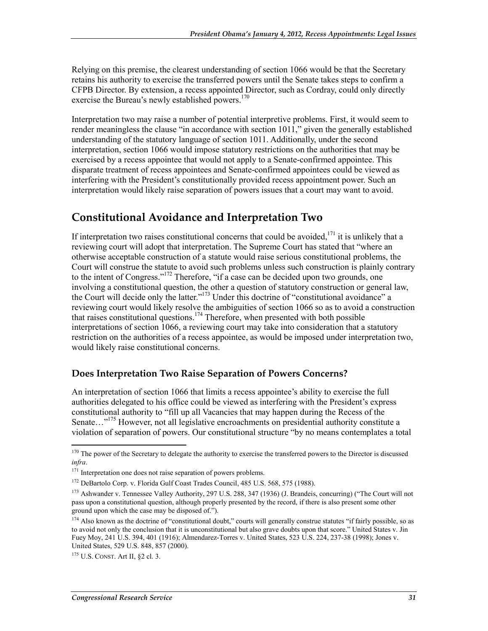Relying on this premise, the clearest understanding of section 1066 would be that the Secretary retains his authority to exercise the transferred powers until the Senate takes steps to confirm a CFPB Director. By extension, a recess appointed Director, such as Cordray, could only directly exercise the Bureau's newly established powers.<sup>170</sup>

Interpretation two may raise a number of potential interpretive problems. First, it would seem to render meaningless the clause "in accordance with section 1011," given the generally established understanding of the statutory language of section 1011. Additionally, under the second interpretation, section 1066 would impose statutory restrictions on the authorities that may be exercised by a recess appointee that would not apply to a Senate-confirmed appointee. This disparate treatment of recess appointees and Senate-confirmed appointees could be viewed as interfering with the President's constitutionally provided recess appointment power. Such an interpretation would likely raise separation of powers issues that a court may want to avoid.

### **Constitutional Avoidance and Interpretation Two**

If interpretation two raises constitutional concerns that could be avoided,<sup>171</sup> it is unlikely that a reviewing court will adopt that interpretation. The Supreme Court has stated that "where an otherwise acceptable construction of a statute would raise serious constitutional problems, the Court will construe the statute to avoid such problems unless such construction is plainly contrary to the intent of Congress."<sup>172</sup> Therefore, "if a case can be decided upon two grounds, one involving a constitutional question, the other a question of statutory construction or general law, the Court will decide only the latter."173 Under this doctrine of "constitutional avoidance" a reviewing court would likely resolve the ambiguities of section 1066 so as to avoid a construction that raises constitutional questions.<sup>174</sup> Therefore, when presented with both possible interpretations of section 1066, a reviewing court may take into consideration that a statutory restriction on the authorities of a recess appointee, as would be imposed under interpretation two, would likely raise constitutional concerns.

#### **Does Interpretation Two Raise Separation of Powers Concerns?**

An interpretation of section 1066 that limits a recess appointee's ability to exercise the full authorities delegated to his office could be viewed as interfering with the President's express constitutional authority to "fill up all Vacancies that may happen during the Recess of the Senate...<sup>"175</sup> However, not all legislative encroachments on presidential authority constitute a violation of separation of powers. Our constitutional structure "by no means contemplates a total

 $170$  The power of the Secretary to delegate the authority to exercise the transferred powers to the Director is discussed *infra*.

<sup>&</sup>lt;sup>171</sup> Interpretation one does not raise separation of powers problems.

<sup>172</sup> DeBartolo Corp. v. Florida Gulf Coast Trades Council, 485 U.S. 568, 575 (1988).

<sup>173</sup> Ashwander v. Tennessee Valley Authority, 297 U.S. 288, 347 (1936) (J. Brandeis, concurring) ("The Court will not pass upon a constitutional question, although properly presented by the record, if there is also present some other ground upon which the case may be disposed of.").

<sup>&</sup>lt;sup>174</sup> Also known as the doctrine of "constitutional doubt," courts will generally construe statutes "if fairly possible, so as to avoid not only the conclusion that it is unconstitutional but also grave doubts upon that score." United States v. Jin Fuey Moy, 241 U.S. 394, 401 (1916); Almendarez-Torres v. United States, 523 U.S. 224, 237-38 (1998); Jones v. United States, 529 U.S. 848, 857 (2000).

<sup>175</sup> U.S. CONST. Art II, §2 cl. 3.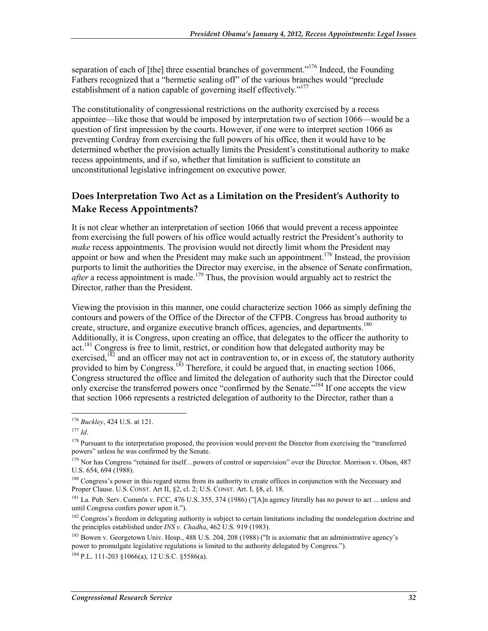separation of each of [the] three essential branches of government."<sup>176</sup> Indeed, the Founding Fathers recognized that a "hermetic sealing off" of the various branches would "preclude establishment of a nation capable of governing itself effectively."<sup>177</sup>

The constitutionality of congressional restrictions on the authority exercised by a recess appointee—like those that would be imposed by interpretation two of section 1066—would be a question of first impression by the courts. However, if one were to interpret section 1066 as preventing Cordray from exercising the full powers of his office, then it would have to be determined whether the provision actually limits the President's constitutional authority to make recess appointments, and if so, whether that limitation is sufficient to constitute an unconstitutional legislative infringement on executive power.

#### **Does Interpretation Two Act as a Limitation on the President's Authority to Make Recess Appointments?**

It is not clear whether an interpretation of section 1066 that would prevent a recess appointee from exercising the full powers of his office would actually restrict the President's authority to *make* recess appointments. The provision would not directly limit whom the President may appoint or how and when the President may make such an appointment.<sup>178</sup> Instead, the provision purports to limit the authorities the Director may exercise, in the absence of Senate confirmation, *after* a recess appointment is made.<sup>179</sup> Thus, the provision would arguably act to restrict the Director, rather than the President.

Viewing the provision in this manner, one could characterize section 1066 as simply defining the contours and powers of the Office of the Director of the CFPB. Congress has broad authority to create, structure, and organize executive branch offices, agencies, and departments.<sup>180</sup> Additionally, it is Congress, upon creating an office, that delegates to the officer the authority to act.<sup>181</sup> Congress is free to limit, restrict, or condition how that delegated authority may be exercised, $182$  and an officer may not act in contravention to, or in excess of, the statutory authority provided to him by Congress.<sup>183</sup> Therefore, it could be argued that, in enacting section 1066, Congress structured the office and limited the delegation of authority such that the Director could only exercise the transferred powers once "confirmed by the Senate."<sup>184</sup> If one accepts the view that section 1066 represents a restricted delegation of authority to the Director, rather than a

<sup>176</sup> *Buckley*, 424 U.S. at 121.

<sup>177</sup> *Id*.

<sup>&</sup>lt;sup>178</sup> Pursuant to the interpretation proposed, the provision would prevent the Director from exercising the "transferred powers" unless he was confirmed by the Senate.

<sup>&</sup>lt;sup>179</sup> Nor has Congress "retained for itself...powers of control or supervision" over the Director. Morrison v. Olson, 487 U.S. 654, 694 (1988).

<sup>&</sup>lt;sup>180</sup> Congress's power in this regard stems from its authority to create offices in conjunction with the Necessary and Proper Clause. U.S. CONST. Art II, §2, cl. 2; U.S. CONST. Art. I, §8, cl. 18.

<sup>&</sup>lt;sup>181</sup> La. Pub. Serv. Comm'n v. FCC, 476 U.S. 355, 374 (1986) ("[A]n agency literally has no power to act ... unless and until Congress confers power upon it.").

<sup>&</sup>lt;sup>182</sup> Congress's freedom in delegating authority is subject to certain limitations including the nondelegation doctrine and the principles established under *INS v. Chadha*, 462 U.S. 919 (1983).

<sup>&</sup>lt;sup>183</sup> Bowen v. Georgetown Univ. Hosp., 488 U.S. 204, 208 (1988) ("It is axiomatic that an administrative agency's power to promulgate legislative regulations is limited to the authority delegated by Congress.").

<sup>184</sup> P.L. 111-203 §1066(a), 12 U.S.C. §5586(a).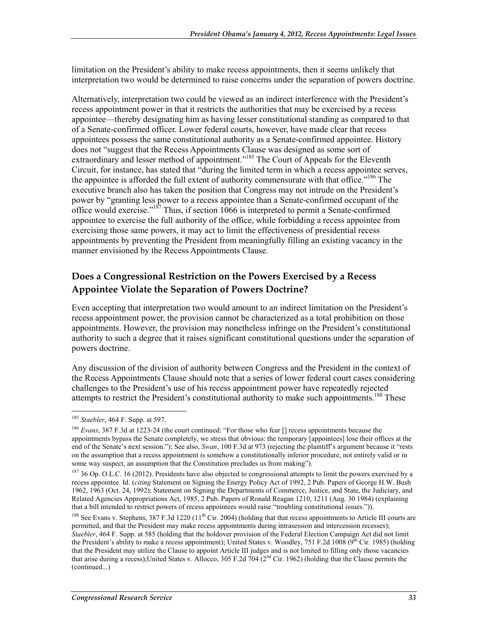limitation on the President's ability to make recess appointments, then it seems unlikely that interpretation two would be determined to raise concerns under the separation of powers doctrine.

Alternatively, interpretation two could be viewed as an indirect interference with the President's recess appointment power in that it restricts the authorities that may be exercised by a recess appointee—thereby designating him as having lesser constitutional standing as compared to that of a Senate-confirmed officer. Lower federal courts, however, have made clear that recess appointees possess the same constitutional authority as a Senate-confirmed appointee. History does not "suggest that the Recess Appointments Clause was designed as some sort of extraordinary and lesser method of appointment."<sup>185</sup> The Court of Appeals for the Eleventh Circuit, for instance, has stated that "during the limited term in which a recess appointee serves, the appointee is afforded the full extent of authority commensurate with that office."<sup>186</sup> The executive branch also has taken the position that Congress may not intrude on the President's power by "granting less power to a recess appointee than a Senate-confirmed occupant of the office would exercise."187 Thus, if section 1066 is interpreted to permit a Senate-confirmed appointee to exercise the full authority of the office, while forbidding a recess appointee from exercising those same powers, it may act to limit the effectiveness of presidential recess appointments by preventing the President from meaningfully filling an existing vacancy in the manner envisioned by the Recess Appointments Clause.

#### **Does a Congressional Restriction on the Powers Exercised by a Recess Appointee Violate the Separation of Powers Doctrine?**

Even accepting that interpretation two would amount to an indirect limitation on the President's recess appointment power, the provision cannot be characterized as a total prohibition on those appointments. However, the provision may nonetheless infringe on the President's constitutional authority to such a degree that it raises significant constitutional questions under the separation of powers doctrine.

Any discussion of the division of authority between Congress and the President in the context of the Recess Appointments Clause should note that a series of lower federal court cases considering challenges to the President's use of his recess appointment power have repeatedly rejected attempts to restrict the President's constitutional authority to make such appointments.<sup>188</sup> These

<sup>185</sup> *Staebler*, 464 F. Supp. at 597.

<sup>&</sup>lt;sup>186</sup> *Evans*, 387 F.3d at 1223-24 (the court continued: "For those who fear [] recess appointments because the appointments bypass the Senate completely, we stress that obvious: the temporary [appointees] lose their offices at the end of the Senate's next session."); See also, *Swan*, 100 F.3d at 973 (rejecting the plaintiff's argument because it "rests on the assumption that a recess appointment is somehow a constitutionally inferior procedure, not entirely valid or in some way suspect, an assumption that the Constitution precludes us from making").

<sup>&</sup>lt;sup>187</sup> 36 Op. O.L.C. 16 (2012). Presidents have also objected to congressional attempts to limit the powers exercised by a recess appointee. Id. (*citing* Statement on Signing the Energy Policy Act of 1992, 2 Pub. Papers of George H.W. Bush 1962, 1963 (Oct. 24, 1992); Statement on Signing the Departments of Commerce, Justice, and State, the Judiciary, and Related Agencies Appropriations Act, 1985, 2 Pub. Papers of Ronald Reagan 1210, 1211 (Aug. 30 1984) (explaining that a bill intended to restrict powers of recess appointees would raise "troubling constitutional issues.")).

<sup>&</sup>lt;sup>188</sup> See Evans v. Stephens, 387 F.3d 1220 ( $11<sup>th</sup>$  Cir. 2004) (holding that that recess appointments to Article III courts are permitted, and that the President may make recess appointments during intrasession and intercession recesses); *Staebler*, 464 F. Supp. at 585 (holding that the holdover provision of the Federal Election Campaign Act did not limit the President's ability to make a recess appointment); United States v. Woodley, 751 F.2d 1008 ( $9^{th}$  Cir. 1985) (holding that the President may utilize the Clause to appoint Article III judges and is not limited to filling only those vacancies that arise during a recess);United States v. Allocco, 305 F.2d 704 ( $2<sup>nd</sup>$  Cir. 1962) (holding that the Clause permits the (continued...)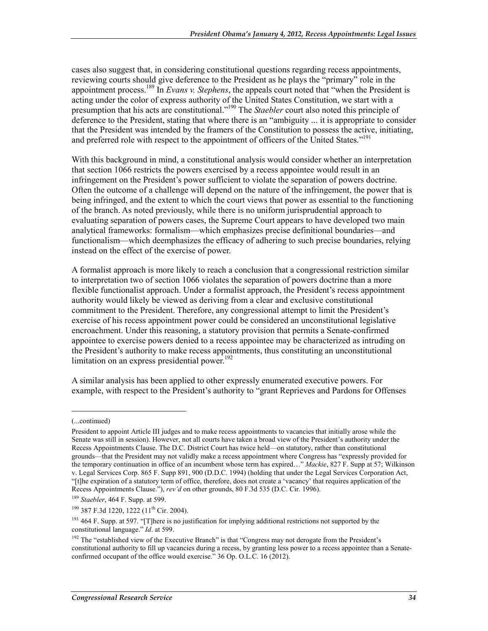cases also suggest that, in considering constitutional questions regarding recess appointments, reviewing courts should give deference to the President as he plays the "primary" role in the appointment process.189 In *Evans v. Stephens*, the appeals court noted that "when the President is acting under the color of express authority of the United States Constitution, we start with a presumption that his acts are constitutional."190 The *Staebler* court also noted this principle of deference to the President, stating that where there is an "ambiguity ... it is appropriate to consider that the President was intended by the framers of the Constitution to possess the active, initiating, and preferred role with respect to the appointment of officers of the United States."<sup>191</sup>

With this background in mind, a constitutional analysis would consider whether an interpretation that section 1066 restricts the powers exercised by a recess appointee would result in an infringement on the President's power sufficient to violate the separation of powers doctrine. Often the outcome of a challenge will depend on the nature of the infringement, the power that is being infringed, and the extent to which the court views that power as essential to the functioning of the branch. As noted previously, while there is no uniform jurisprudential approach to evaluating separation of powers cases, the Supreme Court appears to have developed two main analytical frameworks: formalism—which emphasizes precise definitional boundaries—and functionalism—which deemphasizes the efficacy of adhering to such precise boundaries, relying instead on the effect of the exercise of power.

A formalist approach is more likely to reach a conclusion that a congressional restriction similar to interpretation two of section 1066 violates the separation of powers doctrine than a more flexible functionalist approach. Under a formalist approach, the President's recess appointment authority would likely be viewed as deriving from a clear and exclusive constitutional commitment to the President. Therefore, any congressional attempt to limit the President's exercise of his recess appointment power could be considered an unconstitutional legislative encroachment. Under this reasoning, a statutory provision that permits a Senate-confirmed appointee to exercise powers denied to a recess appointee may be characterized as intruding on the President's authority to make recess appointments, thus constituting an unconstitutional limitation on an express presidential power.<sup>192</sup>

A similar analysis has been applied to other expressly enumerated executive powers. For example, with respect to the President's authority to "grant Reprieves and Pardons for Offenses

 $\overline{a}$ 

<sup>(...</sup>continued)

President to appoint Article III judges and to make recess appointments to vacancies that initially arose while the Senate was still in session). However, not all courts have taken a broad view of the President's authority under the Recess Appointments Clause. The D.C. District Court has twice held—on statutory, rather than constitutional grounds—that the President may not validly make a recess appointment where Congress has "expressly provided for the temporary continuation in office of an incumbent whose term has expired…" *Mackie*, 827 F. Supp at 57; Wilkinson v. Legal Services Corp. 865 F. Supp 891, 900 (D.D.C. 1994) (holding that under the Legal Services Corporation Act, "[t]he expiration of a statutory term of office, therefore, does not create a 'vacancy' that requires application of the Recess Appointments Clause."), *rev'd* on other grounds, 80 F.3d 535 (D.C. Cir. 1996).

<sup>189</sup> *Staebler*, 464 F. Supp. at 599.

<sup>&</sup>lt;sup>190</sup> 387 F.3d 1220, 1222 (11<sup>th</sup> Cir. 2004).

<sup>&</sup>lt;sup>191</sup> 464 F. Supp. at 597. "[T]here is no justification for implying additional restrictions not supported by the constitutional language." *Id*. at 599.

<sup>&</sup>lt;sup>192</sup> The "established view of the Executive Branch" is that "Congress may not derogate from the President's constitutional authority to fill up vacancies during a recess, by granting less power to a recess appointee than a Senateconfirmed occupant of the office would exercise." 36 Op. O.L.C. 16 (2012).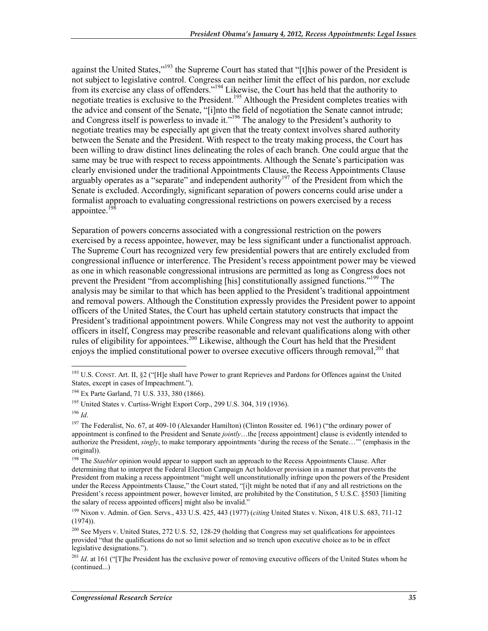against the United States,"<sup>193</sup> the Supreme Court has stated that "[t]his power of the President is not subject to legislative control. Congress can neither limit the effect of his pardon, nor exclude from its exercise any class of offenders."<sup>194</sup> Likewise, the Court has held that the authority to negotiate treaties is exclusive to the President.<sup>195</sup> Although the President completes treaties with the advice and consent of the Senate, "[i]nto the field of negotiation the Senate cannot intrude; and Congress itself is powerless to invade it."<sup>196</sup> The analogy to the President's authority to negotiate treaties may be especially apt given that the treaty context involves shared authority between the Senate and the President. With respect to the treaty making process, the Court has been willing to draw distinct lines delineating the roles of each branch. One could argue that the same may be true with respect to recess appointments. Although the Senate's participation was clearly envisioned under the traditional Appointments Clause, the Recess Appointments Clause arguably operates as a "separate" and independent authority<sup>197</sup> of the President from which the Senate is excluded. Accordingly, significant separation of powers concerns could arise under a formalist approach to evaluating congressional restrictions on powers exercised by a recess appointee.<sup>198</sup>

Separation of powers concerns associated with a congressional restriction on the powers exercised by a recess appointee, however, may be less significant under a functionalist approach. The Supreme Court has recognized very few presidential powers that are entirely excluded from congressional influence or interference. The President's recess appointment power may be viewed as one in which reasonable congressional intrusions are permitted as long as Congress does not prevent the President "from accomplishing [his] constitutionally assigned functions."<sup>199</sup> The analysis may be similar to that which has been applied to the President's traditional appointment and removal powers. Although the Constitution expressly provides the President power to appoint officers of the United States, the Court has upheld certain statutory constructs that impact the President's traditional appointment powers. While Congress may not vest the authority to appoint officers in itself, Congress may prescribe reasonable and relevant qualifications along with other rules of eligibility for appointees.200 Likewise, although the Court has held that the President enjoys the implied constitutional power to oversee executive officers through removal,<sup>201</sup> that

<sup>&</sup>lt;u>.</u> <sup>193</sup> U.S. CONST. Art. II, §2 ("[H]e shall have Power to grant Reprieves and Pardons for Offences against the United States, except in cases of Impeachment.").

<sup>194</sup> Ex Parte Garland, 71 U.S. 333, 380 (1866).

<sup>&</sup>lt;sup>195</sup> United States v. Curtiss-Wright Export Corp., 299 U.S. 304, 319 (1936).

<sup>196</sup> *Id*.

<sup>&</sup>lt;sup>197</sup> The Federalist, No. 67, at 409-10 (Alexander Hamilton) (Clinton Rossiter ed. 1961) ("the ordinary power of appointment is confined to the President and Senate *jointly*…the [recess appointment] clause is evidently intended to authorize the President, *singly*, to make temporary appointments 'during the recess of the Senate…'" (emphasis in the original)).

<sup>&</sup>lt;sup>198</sup> The *Staebler* opinion would appear to support such an approach to the Recess Appointments Clause. After determining that to interpret the Federal Election Campaign Act holdover provision in a manner that prevents the President from making a recess appointment "might well unconstitutionally infringe upon the powers of the President under the Recess Appointments Clause," the Court stated, "[i]t might be noted that if any and all restrictions on the President's recess appointment power, however limited, are prohibited by the Constitution, 5 U.S.C. §5503 [limiting the salary of recess appointed officers] might also be invalid."

<sup>199</sup> Nixon v. Admin. of Gen. Servs., 433 U.S. 425, 443 (1977) (*citing* United States v. Nixon, 418 U.S. 683, 711-12  $(1974)$ ).

<sup>&</sup>lt;sup>200</sup> See Myers v. United States, 272 U.S. 52, 128-29 (holding that Congress may set qualifications for appointees provided "that the qualifications do not so limit selection and so trench upon executive choice as to be in effect legislative designations.").

<sup>&</sup>lt;sup>201</sup> *Id.* at 161 ("The President has the exclusive power of removing executive officers of the United States whom he (continued...)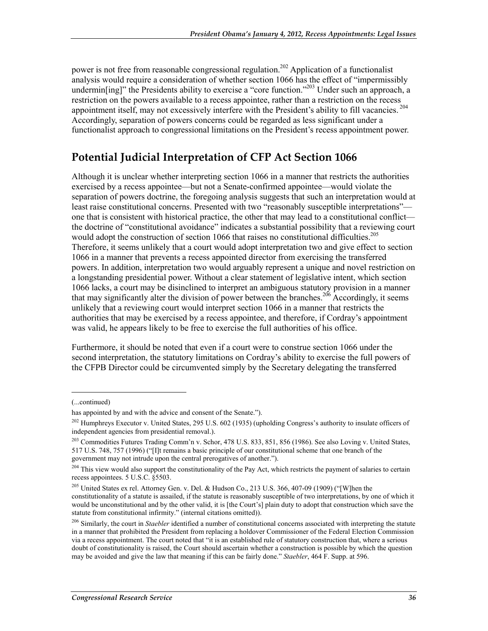power is not free from reasonable congressional regulation.<sup>202</sup> Application of a functionalist analysis would require a consideration of whether section 1066 has the effect of "impermissibly undermin[ing]" the Presidents ability to exercise a "core function."<sup>203</sup> Under such an approach, a restriction on the powers available to a recess appointee, rather than a restriction on the recess appointment itself, may not excessively interfere with the President's ability to fill vacancies. 204 Accordingly, separation of powers concerns could be regarded as less significant under a functionalist approach to congressional limitations on the President's recess appointment power.

### **Potential Judicial Interpretation of CFP Act Section 1066**

Although it is unclear whether interpreting section 1066 in a manner that restricts the authorities exercised by a recess appointee—but not a Senate-confirmed appointee—would violate the separation of powers doctrine, the foregoing analysis suggests that such an interpretation would at least raise constitutional concerns. Presented with two "reasonably susceptible interpretations" one that is consistent with historical practice, the other that may lead to a constitutional conflict the doctrine of "constitutional avoidance" indicates a substantial possibility that a reviewing court would adopt the construction of section 1066 that raises no constitutional difficulties.<sup>205</sup> Therefore, it seems unlikely that a court would adopt interpretation two and give effect to section 1066 in a manner that prevents a recess appointed director from exercising the transferred powers. In addition, interpretation two would arguably represent a unique and novel restriction on a longstanding presidential power. Without a clear statement of legislative intent, which section 1066 lacks, a court may be disinclined to interpret an ambiguous statutory provision in a manner that may significantly alter the division of power between the branches.<sup>206</sup> Accordingly, it seems unlikely that a reviewing court would interpret section 1066 in a manner that restricts the authorities that may be exercised by a recess appointee, and therefore, if Cordray's appointment was valid, he appears likely to be free to exercise the full authorities of his office.

Furthermore, it should be noted that even if a court were to construe section 1066 under the second interpretation, the statutory limitations on Cordray's ability to exercise the full powers of the CFPB Director could be circumvented simply by the Secretary delegating the transferred

<sup>(...</sup>continued)

has appointed by and with the advice and consent of the Senate.").

<sup>&</sup>lt;sup>202</sup> Humphreys Executor v. United States, 295 U.S. 602 (1935) (upholding Congress's authority to insulate officers of independent agencies from presidential removal.).

<sup>&</sup>lt;sup>203</sup> Commodities Futures Trading Comm'n v. Schor, 478 U.S. 833, 851, 856 (1986). See also Loving v. United States, 517 U.S. 748, 757 (1996) ("[I]t remains a basic principle of our constitutional scheme that one branch of the government may not intrude upon the central prerogatives of another.").

<sup>&</sup>lt;sup>204</sup> This view would also support the constitutionality of the Pay Act, which restricts the payment of salaries to certain recess appointees. 5 U.S.C. §5503.

<sup>205</sup> United States ex rel. Attorney Gen. v. Del. & Hudson Co., 213 U.S. 366, 407-09 (1909) ("[W]hen the constitutionality of a statute is assailed, if the statute is reasonably susceptible of two interpretations, by one of which it would be unconstitutional and by the other valid, it is [the Court's] plain duty to adopt that construction which save the statute from constitutional infirmity." (internal citations omitted)).

<sup>&</sup>lt;sup>206</sup> Similarly, the court in *Staebler* identified a number of constitutional concerns associated with interpreting the statute in a manner that prohibited the President from replacing a holdover Commissioner of the Federal Election Commission via a recess appointment. The court noted that "it is an established rule of statutory construction that, where a serious doubt of constitutionality is raised, the Court should ascertain whether a construction is possible by which the question may be avoided and give the law that meaning if this can be fairly done." *Staebler*, 464 F. Supp. at 596.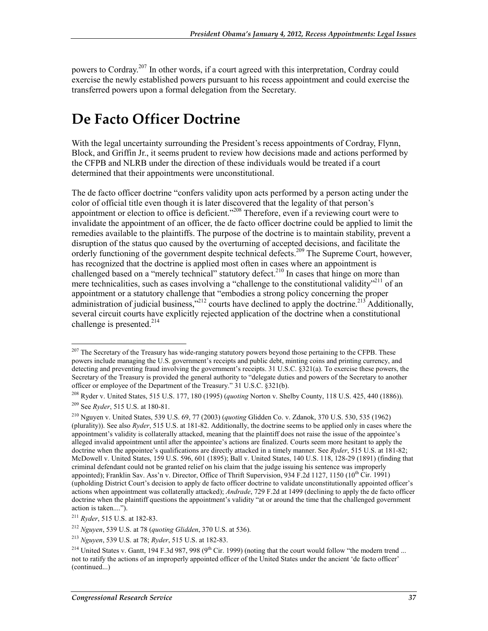powers to Cordray.<sup>207</sup> In other words, if a court agreed with this interpretation, Cordray could exercise the newly established powers pursuant to his recess appointment and could exercise the transferred powers upon a formal delegation from the Secretary.

## **De Facto Officer Doctrine**

With the legal uncertainty surrounding the President's recess appointments of Cordray, Flynn, Block, and Griffin Jr., it seems prudent to review how decisions made and actions performed by the CFPB and NLRB under the direction of these individuals would be treated if a court determined that their appointments were unconstitutional.

The de facto officer doctrine "confers validity upon acts performed by a person acting under the color of official title even though it is later discovered that the legality of that person's appointment or election to office is deficient."<sup>208</sup> Therefore, even if a reviewing court were to invalidate the appointment of an officer, the de facto officer doctrine could be applied to limit the remedies available to the plaintiffs. The purpose of the doctrine is to maintain stability, prevent a disruption of the status quo caused by the overturning of accepted decisions, and facilitate the orderly functioning of the government despite technical defects.<sup>209</sup> The Supreme Court, however, has recognized that the doctrine is applied most often in cases where an appointment is challenged based on a "merely technical" statutory defect.<sup>210</sup> In cases that hinge on more than mere technicalities, such as cases involving a "challenge to the constitutional validity"<sup>211</sup> of an appointment or a statutory challenge that "embodies a strong policy concerning the proper administration of judicial business,"<sup>212</sup> courts have declined to apply the doctrine.<sup>213</sup> Additionally, several circuit courts have explicitly rejected application of the doctrine when a constitutional challenge is presented. $214$ 

<sup>&</sup>lt;sup>207</sup> The Secretary of the Treasury has wide-ranging statutory powers beyond those pertaining to the CFPB. These powers include managing the U.S. government's receipts and public debt, minting coins and printing currency, and detecting and preventing fraud involving the government's receipts. 31 U.S.C. §321(a). To exercise these powers, the Secretary of the Treasury is provided the general authority to "delegate duties and powers of the Secretary to another officer or employee of the Department of the Treasury." 31 U.S.C. §321(b).

<sup>208</sup> Ryder v. United States, 515 U.S. 177, 180 (1995) (*quoting* Norton v. Shelby County, 118 U.S. 425, 440 (1886)).

<sup>209</sup> See *Ryder*, 515 U.S. at 180-81.

<sup>210</sup> Nguyen v. United States, 539 U.S. 69, 77 (2003) (*quoting* Glidden Co. v. Zdanok, 370 U.S. 530, 535 (1962) (plurality)). See also *Ryder*, 515 U.S. at 181-82. Additionally, the doctrine seems to be applied only in cases where the appointment's validity is collaterally attacked, meaning that the plaintiff does not raise the issue of the appointee's alleged invalid appointment until after the appointee's actions are finalized. Courts seem more hesitant to apply the doctrine when the appointee's qualifications are directly attacked in a timely manner. See *Ryder*, 515 U.S. at 181-82; McDowell v. United States, 159 U.S. 596, 601 (1895); Ball v. United States, 140 U.S. 118, 128-29 (1891) (finding that criminal defendant could not be granted relief on his claim that the judge issuing his sentence was improperly appointed); Franklin Sav. Ass'n v. Director, Office of Thrift Supervision, 934 F.2d 1127, 1150 (10<sup>th</sup> Cir. 1991) (upholding District Court's decision to apply de facto officer doctrine to validate unconstitutionally appointed officer's actions when appointment was collaterally attacked); *Andrade*, 729 F.2d at 1499 (declining to apply the de facto officer doctrine when the plaintiff questions the appointment's validity "at or around the time that the challenged government action is taken....").

<sup>211</sup> *Ryder*, 515 U.S. at 182-83.

<sup>212</sup> *Nguyen*, 539 U.S. at 78 (*quoting Glidden*, 370 U.S. at 536).

<sup>213</sup> *Nguyen*, 539 U.S. at 78; *Ryder*, 515 U.S. at 182-83.

<sup>&</sup>lt;sup>214</sup> United States v. Gantt, 194 F.3d 987, 998 (9<sup>th</sup> Cir. 1999) (noting that the court would follow "the modern trend ... not to ratify the actions of an improperly appointed officer of the United States under the ancient 'de facto officer' (continued...)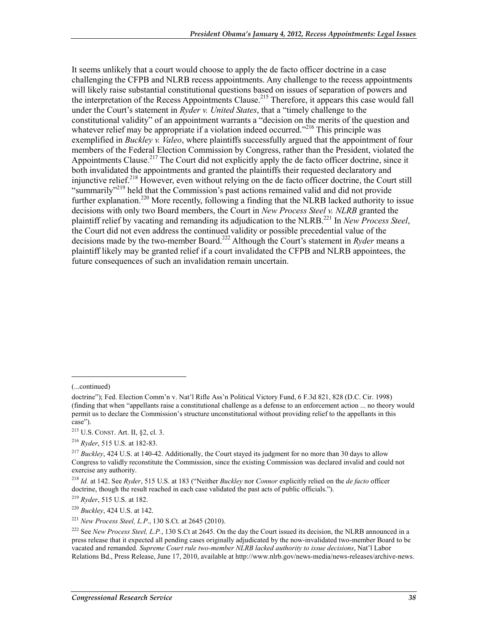It seems unlikely that a court would choose to apply the de facto officer doctrine in a case challenging the CFPB and NLRB recess appointments. Any challenge to the recess appointments will likely raise substantial constitutional questions based on issues of separation of powers and the interpretation of the Recess Appointments Clause.<sup>215</sup> Therefore, it appears this case would fall under the Court's statement in *Ryder v. United States*, that a "timely challenge to the constitutional validity" of an appointment warrants a "decision on the merits of the question and whatever relief may be appropriate if a violation indeed occurred."<sup>216</sup> This principle was exemplified in *Buckley v. Valeo*, where plaintiffs successfully argued that the appointment of four members of the Federal Election Commission by Congress, rather than the President, violated the Appointments Clause.<sup>217</sup> The Court did not explicitly apply the de facto officer doctrine, since it both invalidated the appointments and granted the plaintiffs their requested declaratory and injunctive relief.<sup>218</sup> However, even without relying on the de facto officer doctrine, the Court still "summarily"<sup>219</sup> held that the Commission's past actions remained valid and did not provide further explanation.<sup>220</sup> More recently, following a finding that the NLRB lacked authority to issue decisions with only two Board members, the Court in *New Process Steel v. NLRB* granted the plaintiff relief by vacating and remanding its adjudication to the NLRB.221 In *New Process Steel*, the Court did not even address the continued validity or possible precedential value of the decisions made by the two-member Board.222 Although the Court's statement in *Ryder* means a plaintiff likely may be granted relief if a court invalidated the CFPB and NLRB appointees, the future consequences of such an invalidation remain uncertain.

 $\overline{a}$ 

<sup>(...</sup>continued)

doctrine"); Fed. Election Comm'n v. Nat'l Rifle Ass'n Political Victory Fund, 6 F.3d 821, 828 (D.C. Cir. 1998) (finding that when "appellants raise a constitutional challenge as a defense to an enforcement action ... no theory would permit us to declare the Commission's structure unconstitutional without providing relief to the appellants in this case").

<sup>215</sup> U.S. CONST. Art. II, §2, cl. 3.

<sup>216</sup> *Ryder*, 515 U.S. at 182-83.

<sup>217</sup> *Buckley*, 424 U.S. at 140-42. Additionally, the Court stayed its judgment for no more than 30 days to allow Congress to validly reconstitute the Commission, since the existing Commission was declared invalid and could not exercise any authority.

<sup>218</sup> *Id.* at 142. See *Ryder*, 515 U.S. at 183 ("Neither *Buckley* nor *Connor* explicitly relied on the *de facto* officer doctrine, though the result reached in each case validated the past acts of public officials.").

<sup>219</sup> *Ryder*, 515 U.S. at 182.

<sup>220</sup> *Buckley*, 424 U.S. at 142.

<sup>221</sup> *New Process Steel, L.P*., 130 S.Ct. at 2645 (2010).

<sup>&</sup>lt;sup>222</sup> See *New Process Steel, L.P.*, 130 S.Ct at 2645. On the day the Court issued its decision, the NLRB announced in a press release that it expected all pending cases originally adjudicated by the now-invalidated two-member Board to be vacated and remanded. *Supreme Court rule two-member NLRB lacked authority to issue decisions*, Nat'l Labor Relations Bd., Press Release, June 17, 2010, available at http://www.nlrb.gov/news-media/news-releases/archive-news.